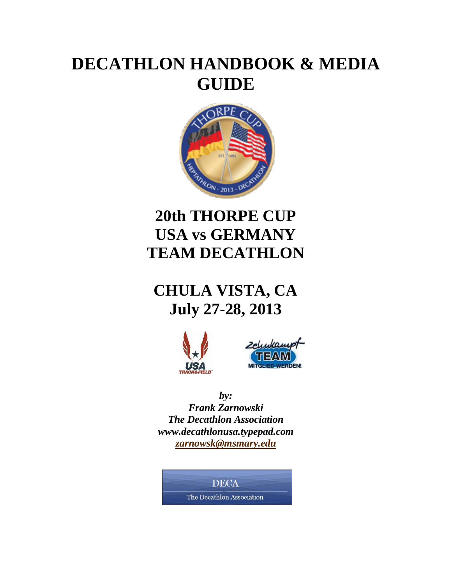# **DECATHLON HANDBOOK & MEDIA GUIDE**



# **20th THORPE CUP USA vs GERMANY TEAM DECATHLON**

## **CHULA VISTA, CA July 27-28, 2013**





*by: Frank Zarnowski The Decathlon Association www.decathlonusa.typepad.com [zarnowsk@msmary.edu](mailto:zarnowsk@msmary.edu)*

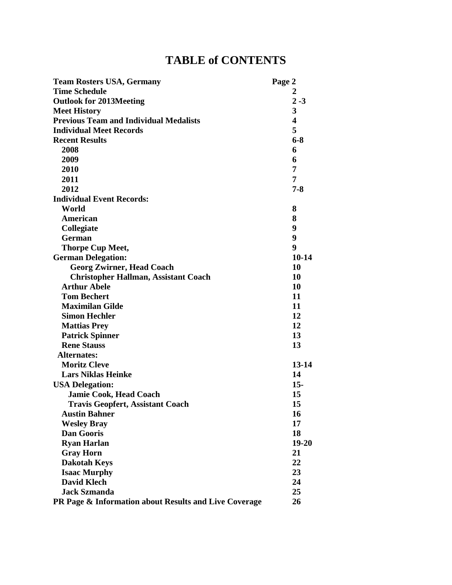## **TABLE of CONTENTS**

| <b>Team Rosters USA, Germany</b>                      | Page 2                  |
|-------------------------------------------------------|-------------------------|
| <b>Time Schedule</b>                                  | 2                       |
| <b>Outlook for 2013Meeting</b>                        | $2 - 3$                 |
| <b>Meet History</b>                                   | 3                       |
| <b>Previous Team and Individual Medalists</b>         | $\overline{\mathbf{4}}$ |
| <b>Individual Meet Records</b>                        | 5                       |
| <b>Recent Results</b>                                 | $6 - 8$                 |
| 2008                                                  | 6                       |
| 2009                                                  | 6                       |
| 2010                                                  | 7                       |
| 2011                                                  | 7                       |
| 2012                                                  | $7 - 8$                 |
| <b>Individual Event Records:</b>                      |                         |
| World                                                 | 8                       |
| American                                              | 8                       |
| Collegiate                                            | 9                       |
| German                                                | 9                       |
| <b>Thorpe Cup Meet,</b>                               | 9                       |
| <b>German Delegation:</b>                             | $10 - 14$               |
| <b>Georg Zwirner, Head Coach</b>                      | 10                      |
| <b>Christopher Hallman, Assistant Coach</b>           | 10                      |
| <b>Arthur Abele</b>                                   | 10                      |
| <b>Tom Bechert</b>                                    | 11                      |
| <b>Maximilan Gilde</b>                                | 11                      |
| <b>Simon Hechler</b>                                  | 12                      |
| <b>Mattias Prey</b>                                   | 12                      |
| <b>Patrick Spinner</b>                                | 13                      |
| <b>Rene Stauss</b>                                    | 13                      |
| Alternates:                                           |                         |
| <b>Moritz Cleve</b>                                   | $13 - 14$               |
| <b>Lars Niklas Heinke</b>                             | 14                      |
| <b>USA Delegation:</b>                                | $15 -$                  |
| <b>Jamie Cook, Head Coach</b>                         | 15                      |
| <b>Travis Geopfert, Assistant Coach</b>               | 15                      |
| <b>Austin Bahner</b>                                  | 16                      |
| <b>Wesley Bray</b>                                    | 17                      |
| <b>Dan Gooris</b>                                     | 18                      |
| <b>Ryan Harlan</b>                                    | 19-20                   |
| <b>Gray Horn</b>                                      | 21                      |
| <b>Dakotah Keys</b>                                   | 22                      |
| <b>Isaac Murphy</b>                                   | 23                      |
| <b>David Klech</b>                                    | 24                      |
| <b>Jack Szmanda</b>                                   | 25                      |
| PR Page & Information about Results and Live Coverage | 26                      |
|                                                       |                         |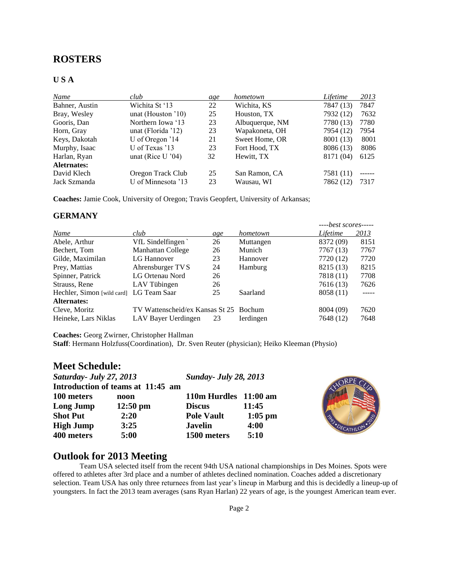### **ROSTERS**

#### **U S A**

| Name           | club                  | age | hometown        | Lifetime  | 2013 |
|----------------|-----------------------|-----|-----------------|-----------|------|
| Bahner, Austin | Wichita St '13        | 22  | Wichita, KS     | 7847 (13) | 7847 |
| Bray, Wesley   | unat (Houston $10$ )  | 25  | Houston, TX     | 7932 (12) | 7632 |
| Gooris, Dan    | Northern Iowa '13     | 23  | Albuquerque, NM | 7780 (13) | 7780 |
| Horn, Gray     | unat (Florida $'12$ ) | 23  | Wapakoneta, OH  | 7954 (12) | 7954 |
| Keys, Dakotah  | U of Oregon '14       | 21  | Sweet Home, OR  | 8001 (13) | 8001 |
| Murphy, Isaac  | U of Texas '13        | 23  | Fort Hood, TX   | 8086 (13) | 8086 |
| Harlan, Ryan   | unat (Rice U $'04$ )  | 32  | Hewitt, TX      | 8171 (04) | 6125 |
| Aletrnates:    |                       |     |                 |           |      |
| David Klech    | Oregon Track Club     | 25  | San Ramon, CA   | 7581 (11) |      |
| Jack Szmanda   | U of Minnesota '13    | 23  | Wausau, WI      | 7862 (12) | 7317 |

**Coaches:** Jamie Cook, University of Oregon; Travis Geopfert, University of Arkansas;

#### **GERMANY**

|                                         |                                        |     |           | $--best scores---$ |       |
|-----------------------------------------|----------------------------------------|-----|-----------|--------------------|-------|
| Name                                    | club                                   | age | hometown  | Lifetime           | 2013  |
| Abele, Arthur                           | VfL Sindelfingen                       | 26  | Muttangen | 8372 (09)          | 8151  |
| Bechert, Tom                            | Manhattan College                      | 26  | Munich    | 7767 (13)          | 7767  |
| Gilde, Maximilan                        | LG Hannover                            | 23  | Hannover  | 7720 (12)          | 7720  |
| Prey, Mattias                           | Ahrensburger TVS                       | 24  | Hamburg   | 8215 (13)          | 8215  |
| Spinner, Patrick                        | LG Ortenau Nord                        | 26  |           | 7818 (11)          | 7708  |
| Strauss, Rene                           | LAV Tübingen                           | 26  |           | 7616 (13)          | 7626  |
| Hechler, Simon [wild card] LG Team Saar |                                        | 25  | Saarland  | 8058 (11)          | ----- |
| Alternates:                             |                                        |     |           |                    |       |
| Cleve, Moritz                           | TV Wattenscheid/ex Kansas St 25 Bochum |     |           | 8004 (09)          | 7620  |
| Heineke, Lars Niklas                    | LAV Bayer Uerdingen                    | 23  | Ierdingen | 7648 (12)          | 7648  |

**Coaches:** Georg Zwirner, Christopher Hallman

**Staff**: Hermann Holzfuss(Coordination), Dr. Sven Reuter (physician); Heiko Kleeman (Physio)

#### **Meet Schedule:**

| Saturday - July 27, 2013 |                                   | <b>Sunday- July 28, 2013</b> |           |                         |
|--------------------------|-----------------------------------|------------------------------|-----------|-------------------------|
|                          | Introduction of teams at 11:45 am |                              |           |                         |
| 100 meters               | noon                              | 110m Hurdles 11:00 am        |           |                         |
| Long Jump                | $12:50 \text{ pm}$                | <b>Discus</b>                | 11:45     |                         |
| <b>Shot Put</b>          | 2:20                              | <b>Pole Vault</b>            | $1:05$ pm |                         |
| <b>High Jump</b>         | 3:25                              | <b>Javelin</b>               | 4:00      | <b>SS-DECATHION .20</b> |
| 400 meters               | 5:00                              | 1500 meters                  | 5:10      |                         |

## **Outlook for 2013 Meeting**

Team USA selected itself from the recent 94th USA national championships in Des Moines. Spots were offered to athletes after 3rd place and a number of athletes declined nomination. Coaches added a discretionary selection. Team USA has only three returnees from last year's lineup in Marburg and this is decidedly a lineup-up of youngsters. In fact the 2013 team averages (sans Ryan Harlan) 22 years of age, is the youngest American team ever.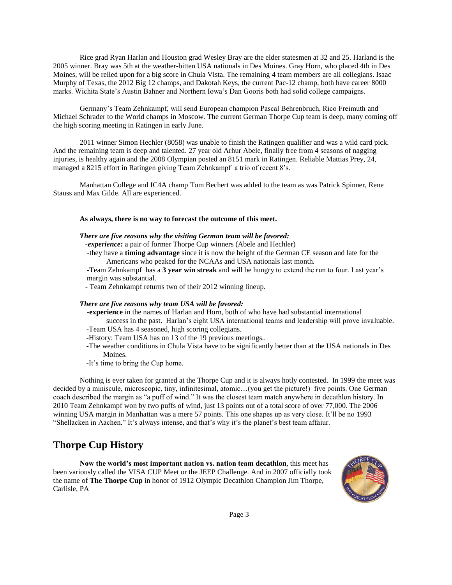Rice grad Ryan Harlan and Houston grad Wesley Bray are the elder statesmen at 32 and 25. Harland is the 2005 winner. Bray was 5th at the weather-bitten USA nationals in Des Moines. Gray Horn, who placed 4th in Des Moines, will be relied upon for a big score in Chula Vista. The remaining 4 team members are all collegians. Isaac Murphy of Texas, the 2012 Big 12 champs, and Dakotah Keys, the current Pac-12 champ, both have career 8000 marks. Wichita State's Austin Bahner and Northern Iowa's Dan Gooris both had solid college campaigns.

Germany's Team Zehnkampf, will send European champion Pascal Behrenbruch, Rico Freimuth and Michael Schrader to the World champs in Moscow. The current German Thorpe Cup team is deep, many coming off the high scoring meeting in Ratingen in early June.

2011 winner Simon Hechler (8058) was unable to finish the Ratingen qualifier and was a wild card pick. And the remaining team is deep and talented. 27 year old Arhur Abele, finally free from 4 seasons of nagging injuries, is healthy again and the 2008 Olympian posted an 8151 mark in Ratingen. Reliable Mattias Prey, 24, managed a 8215 effort in Ratingen giving Team Zehnkampf a trio of recent 8's.

Manhattan College and IC4A champ Tom Bechert was added to the team as was Patrick Spinner, Rene Stauss and Max Gilde. All are experienced.

#### **As always, there is no way to forecast the outcome of this meet.**

#### *There are five reasons why the visiting German team will be favored:*

 *-experience:* a pair of former Thorpe Cup winners (Abele and Hechler)

 -they have a **timing advantage** since it is now the height of the German CE season and late for the Americans who peaked for the NCAAs and USA nationals last month.

-Team Zehnkampf has a **3 year win streak** and will be hungry to extend the run to four. Last year's margin was substantial.

- Team Zehnkampf returns two of their 2012 winning lineup.

#### *There are five reasons why team USA will be favored:*

-**experience** in the names of Harlan and Horn, both of who have had substantial international success in the past. Harlan's eight USA international teams and leadership will prove invaluable.

-Team USA has 4 seasoned, high scoring collegians.

- -History: Team USA has on 13 of the 19 previous meetings..
- -The weather conditions in Chula Vista have to be significantly better than at the USA nationals in Des Moines.
- -It's time to bring the Cup home.

Nothing is ever taken for granted at the Thorpe Cup and it is always hotly contested. In 1999 the meet was decided by a miniscule, microscopic, tiny, infinitesimal, atomic…(you get the picture!) five points. One German coach described the margin as "a puff of wind." It was the closest team match anywhere in decathlon history. In 2010 Team Zehnkampf won by two puffs of wind, just 13 points out of a total score of over 77,000. The 2006 winning USA margin in Manhattan was a mere 57 points. This one shapes up as very close. It'll be no 1993 "Shellacken in Aachen." It's always intense, and that's why it's the planet's best team affaiur.

### **Thorpe Cup History**

**Now the world's most important nation vs. nation team decathlon**, this meet has been variously called the VISA CUP Meet or the JEEP Challenge. And in 2007 officially took the name of **The Thorpe Cup** in honor of 1912 Olympic Decathlon Champion Jim Thorpe, Carlisle, PA

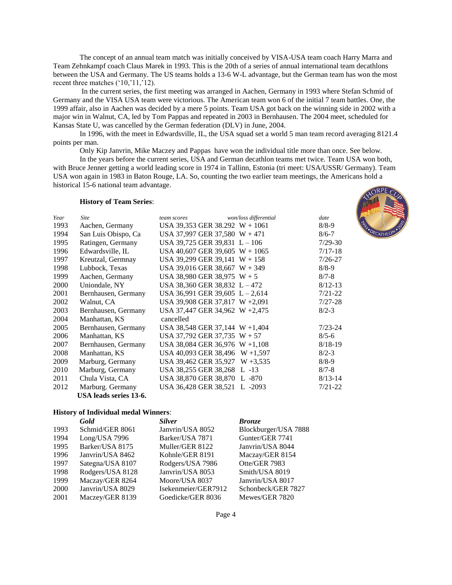The concept of an annual team match was initially conceived by VISA-USA team coach Harry Marra and Team Zehnkampf coach Claus Marek in 1993. This is the 20th of a series of annual international team decathlons between the USA and Germany. The US teams holds a 13-6 W-L advantage, but the German team has won the most recent three matches ('10,'11,'12).

In the current series, the first meeting was arranged in Aachen, Germany in 1993 where Stefan Schmid of Germany and the VISA USA team were victorious. The American team won 6 of the initial 7 team battles. One, the 1999 affair, also in Aachen was decided by a mere 5 points. Team USA got back on the winning side in 2002 with a major win in Walnut, CA, led by Tom Pappas and repeated in 2003 in Bernhausen. The 2004 meet, scheduled for Kansas State U, was cancelled by the German federation (DLV) in June, 2004.

In 1996, with the meet in Edwardsville, IL, the USA squad set a world 5 man team record averaging 8121.4 points per man.

Only Kip Janvrin, Mike Maczey and Pappas have won the individual title more than once. See below.

In the years before the current series, USA and German decathlon teams met twice. Team USA won both, with Bruce Jenner getting a world leading score in 1974 in Tallinn, Estonia (tri meet: USA/USSR/ Germany). Team USA won again in 1983 in Baton Rouge, LA. So, counting the two earlier team meetings, the Americans hold a historical 15-6 national team advantage.

#### **History of Team Series**:

| Year | <b>Site</b>            | team scores                       | won/loss differential            | date        |
|------|------------------------|-----------------------------------|----------------------------------|-------------|
| 1993 | Aachen, Germany        |                                   | USA 39,353 GER 38.292 $W + 1061$ | $8/8-9$     |
| 1994 | San Luis Obispo, Ca    | USA 37,997 GER 37,580 $W + 471$   |                                  | $8/6 - 7$   |
| 1995 | Ratingen, Germany      | USA 39,725 GER 39,831 $L - 106$   |                                  | $7/29-30$   |
| 1996 | Edwardsville, IL       |                                   | USA 40,607 GER 39,605 $W + 1065$ | $7/17-18$   |
| 1997 | Kreutzal, Germnay      | USA 39,299 GER 39,141 $W + 158$   |                                  | $7/26 - 27$ |
| 1998 | Lubbock, Texas         | USA 39,016 GER 38,667 $W + 349$   |                                  | $8/8-9$     |
| 1999 | Aachen, Germany        | USA 38,980 GER 38,975 $W + 5$     |                                  | $8/7 - 8$   |
| 2000 | Uniondale, NY          | USA 38,360 GER 38,832 L - 472     |                                  | $8/12 - 13$ |
| 2001 | Bernhausen, Germany    | USA 36,991 GER 39,605 $L - 2,614$ |                                  | $7/21 - 22$ |
| 2002 | Walnut, CA             |                                   | USA 39,908 GER 37,817 W +2,091   | $7/27-28$   |
| 2003 | Bernhausen, Germany    |                                   | USA 37,447 GER 34,962 W +2,475   | $8/2 - 3$   |
| 2004 | Manhattan, KS          | cancelled                         |                                  |             |
| 2005 | Bernhausen, Germany    |                                   | USA 38,548 GER 37,144 W +1,404   | $7/23 - 24$ |
| 2006 | Manhattan, KS          | USA 37,792 GER 37,735 $W + 57$    |                                  | $8/5 - 6$   |
| 2007 | Bernhausen, Germany    |                                   | USA 38,084 GER 36,976 W +1,108   | $8/18-19$   |
| 2008 | Manhattan, KS          |                                   | USA 40,093 GER 38,496 W +1,597   | $8/2 - 3$   |
| 2009 | Marburg, Germany       |                                   | USA 39,462 GER 35,927 W +3,535   | $8/8 - 9$   |
| 2010 | Marburg, Germany       | USA 38,255 GER 38,268 L -13       |                                  | $8/7 - 8$   |
| 2011 | Chula Vista, CA        | USA 38,870 GER 38,870 L-870       |                                  | $8/13 - 14$ |
| 2012 | Marburg. Germany       | USA 36,428 GER 38,521 L -2093     |                                  | $7/21 - 22$ |
|      | USA leads series 13-6. |                                   |                                  |             |

#### **History of Individual medal Winners**:

|      | Gold             | <b>Silver</b>       | <b>Bronze</b>        |
|------|------------------|---------------------|----------------------|
| 1993 | Schmid/GER 8061  | Janvrin/USA 8052    | Blockburger/USA 7888 |
| 1994 | $Long/USA$ 7996  | Barker/USA 7871     | Gunter/GER 7741      |
| 1995 | Barker/USA 8175  | Muller/GER 8122     | Janvrin/USA 8044     |
| 1996 | Janvrin/USA 8462 | Kohnle/GER 8191     | Maczay/GER 8154      |
| 1997 | Sategna/USA 8107 | Rodgers/USA 7986    | Otte/GER 7983        |
| 1998 | Rodgers/USA 8128 | Janvrin/USA 8053    | Smith/USA 8019       |
| 1999 | Maczay/GER 8264  | Moore/USA 8037      | Janvrin/USA 8017     |
| 2000 | Janvrin/USA 8029 | Isekenmeier/GER7912 | Schonbeck/GER 7827   |
| 2001 | Maczey/GER 8139  | Goedicke/GER 8036   | Mewes/GER 7820       |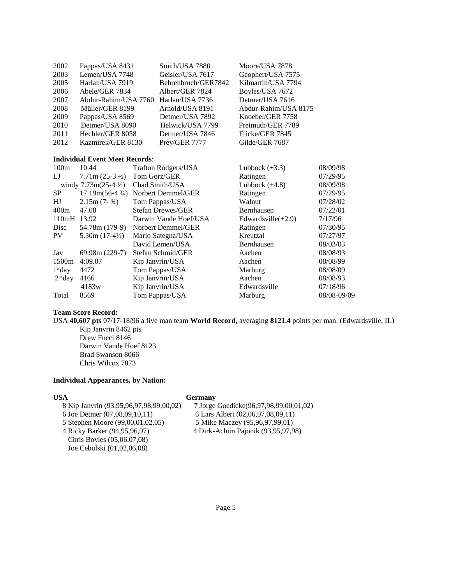| 2002 | Pappas/USA 8431                         | Smith/USA 7880      | Moore/USA 7878       |          |
|------|-----------------------------------------|---------------------|----------------------|----------|
| 2003 | Lemen/USA 7748                          | Geisler/USA 7617    | Geophert/USA 7575    |          |
| 2005 | Harlan/USA 7919                         | Behrenbruch/GER7842 | Kilmartin/USA 7794   |          |
| 2006 | Abele/GER 7834                          | Albert/GER 7824     | Boyles/USA 7672      |          |
| 2007 | Abdur-Rahim/USA 7760                    | Harlan/USA 7736     | Detmer/USA 7616      |          |
| 2008 | Müller/GER 8199                         | Arnold/USA 8191     | Abdur-Rahim/USA 8175 |          |
| 2009 | Pappas/USA 8569                         | Detmer/USA 7892     | Knoebel/GER 7758     |          |
| 2010 | Detmer/USA 8090                         | Helwick/USA 7799    | Freimuth/GER 7789    |          |
| 2011 | Hechler/GER 8058                        | Detmer/USA 7846     | Fricke/GER 7845      |          |
| 2012 | Kazmirek/GER 8130                       | Prey/GER 7777       | Gilde/GER 7687       |          |
|      |                                         |                     |                      |          |
|      | <b>Individual Event Meet Records:</b>   |                     |                      |          |
| 100m | 10.44                                   | Trafton Rodgers/USA | Lubbock $(+3.3)$     | 08/09/98 |
| LJ   | $7.71m (25-3 \frac{1}{2})$ Tom Gorz/GER |                     | Ratingen             | 07/29/95 |
|      |                                         |                     |                      |          |

| IJ                    | $7.71 \text{m} (25-3 \frac{1}{2})$ | Tom Gorz/GER             | Ratingen              | 07/29/95    |
|-----------------------|------------------------------------|--------------------------|-----------------------|-------------|
|                       | windy $7.73m(25-4\frac{1}{2})$     | Chad Smith/USA           | Lubbock $(+4.8)$      | 08/09/98    |
| SP.                   | $17.19m(56-4\frac{3}{4})$          | Norbert Demmel/GER       | Ratingen              | 07/29/95    |
| HJ                    | $2.15m (7 - 3/4)$                  | Tom Pappas/USA           | Walnut                | 07/28/02    |
| 400m                  | 47.08                              | <b>Stefan Drewes/GER</b> | Bernhausen            | 07/22/01    |
| 110mH 13.92           |                                    | Darwin Vande Hoef/USA    | Edwardsville $(+2.9)$ | 7/17/96     |
| Disc                  | 54.78m (179-9)                     | Norbert Demmel/GER       | Ratingen              | 07/30/95    |
| PV.                   | $5.30m(17-4\frac{1}{2})$           | Mario Sategna/USA        | Kreutzal              | 07/27/97    |
|                       |                                    | David Lemen/USA          | Bernhausen            | 08/03/03    |
| Jav                   | $69.98m(229-7)$                    | Stefan Schmid/GER        | Aachen                | 08/08/93    |
| 1500 <sub>m</sub>     | 4:09.07                            | Kip Janvrin/USA          | Aachen                | 08/08/99    |
| $1^{\mathrm{st}}$ day | 4472                               | Tom Pappas/USA           | Marburg               | 08/08/09    |
| $2nd$ day             | 4166                               | Kip Janvrin/USA          | Aachen                | 08/08/93    |
|                       | 4183w                              | Kip Janvrin/USA          | Edwardsville          | 07/18/96    |
| Total                 | 8569                               | Tom Pappas/USA           | Marburg               | 08/08-09/09 |

#### **Team Score Record:**

USA **40,607 pts** 07/17-18/96 a five man team **World Record,** averaging **8121.4** points per man. (Edwardsville, IL) Kip Janvrin 8462 pts Drew Fucci 8146 Darwin Vande Hoef 8123 Brad Swanson 8066 Chris Wilcox 7873

#### **Individual Appearances, by Nation:**

#### **USA Germany**

5 Stephen Moore (99,00,01,02,05) 4 Ricky Barker (94,95,96,97) 4 Dirk-Achim Pajonik (93,95,97,98) Chris Boyles (05,06,07,08) Joe Cebulski (01,02,06,08)

8 Kip Janvrin (93,95,96,97,98,99,00,02) 7 Jorge Goedicke(96,97,98,99,00,01,02)<br>
6 Joe Detmer (07,08,09,10,11) 6 Lars Albert (02,06,07,08,09,11) 6 Lars Albert (02,06,07,08,09,11)<br>5 Mike Maczey (95,96,97,99,01)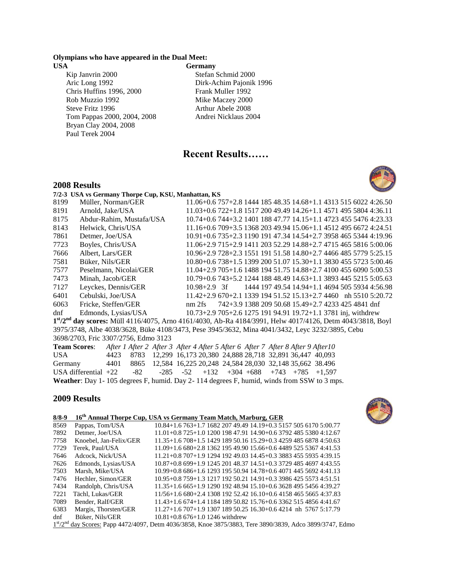#### **Olympians who have appeared in the Dual Meet:**

**USA Germany** 

- Kip Janvrin 2000 Stefan Schmid 2000 Aric Long 1992 Dirk-Achim Pajonik 1996 Chris Huffins 1996, 2000 Frank Muller 1992 Rob Muzzio 1992 Mike Maczey 2000 Steve Fritz 1996 Arthur Abele 2008 Tom Pappas 2000, 2004, 2008 Andrei Nicklaus 2004 Bryan Clay 2004, 2008 Paul Terek 2004
- 

### **Recent Results……**

#### **2008 Results**



|        | 7/2-3 USA vs Germany Thorpe Cup, KSU, Manhattan, KS |                                                                                                             |  |
|--------|-----------------------------------------------------|-------------------------------------------------------------------------------------------------------------|--|
| 8199   | Müller, Norman/GER                                  | $11.06+0.6757+2.8144418548.3514.68+1.1431351560224:26.50$                                                   |  |
| 8191   | Arnold, Jake/USA                                    | $11.03+0.6722+1.8151720049.4914.26+1.1457149558044:36.11$                                                   |  |
| 8175   | Abdur-Rahim, Mustafa/USA                            | 10.74+0.6 744+3.2 1401 188 47.77 14.15+1.1 4723 455 5476 4:23.33                                            |  |
| 8143   | Helwick, Chris/USA                                  | 11.16+0.6 709+3.5 1368 203 49.94 15.06+1.1 4512 495 6672 4:24.51                                            |  |
| 7861   | Detmer, Joe/USA                                     | 10.91+0.6 735+2.3 1190 191 47.34 14.54+2.7 3958 465 5344 4:19.96                                            |  |
| 7723   | Boyles, Chris/USA                                   | 11.06+2.9 715+2.9 1411 203 52.29 14.88+2.7 4715 465 5816 5:00.06                                            |  |
| 7666   | Albert, Lars/GER                                    | 10.96+2.9 728+2.3 1551 191 51.58 14.80+2.7 4466 485 5779 5:25.15                                            |  |
| 7581   | Büker, Nils/GER                                     | 10.80+0.6 738+1.5 1399 200 51.07 15.30+1.1 3830 455 5723 5:00.46                                            |  |
| 7577   | Peselmann, Nicolai/GER                              | 11.04+2.9 705+1.6 1488 194 51.75 14.88+2.7 4100 455 6090 5:00.53                                            |  |
| 7473   | Minah. Jacob/GER                                    | 10.79+0.6 743+5.2 1244 188 48.49 14.63+1.1 3893 445 5215 5:05.63                                            |  |
| 7127   | Leyckes, Dennis/GER                                 | 1444 197 49.54 14.94+1.1 4694 505 5934 4:56.98<br>$10.98 + 2.9$ 3f                                          |  |
| 6401   | Cebulski, Joe/USA                                   | $11.42+2.9670+2.1133919451.5215.13+2.74460$ nh 5510 5:20.72                                                 |  |
| 6063   | Fricke, Steffen/GER                                 | 742+3.9 1388 209 50.68 15.49+2.7 4233 425 4841 dnf<br>nm2fs                                                 |  |
| $d$ nf | Edmonds, Lysias/USA                                 | 10.73+2.9 705+2.6 1275 191 94.91 19.72+1.1 3781 inj, withdrew                                               |  |
|        |                                                     | $1st/2nd$ day scores: Müll 4116/4075, Arno 4161/4030, Ab-Ra 4184/3991, Helw 4017/4126, Detm 4043/3818, Boyl |  |
|        |                                                     | 3975/3748, Albe 4038/3628, Büke 4108/3473, Pese 3945/3632, Mina 4041/3432, Leyc 3232/3895, Cebu             |  |

3698/2703, Fric 3307/2756, Edmo 3123

**Team Scores**: *After 1 After 2 After 3 After 4 After 5 After 6 After 7 After 8 After 9 After10* USA 4423 8783 12,299 16,173 20,380 24,888 28,718 32,891 36,447 40,093 Germany 4401 8865 12,584 16,225 20,248 24,584 28,030 32,148 35,662 38.496 USA differential +22 -82 -285 -52 +132 +304 +688 +743 +785 +1,597 **Weather**: Day 1- 105 degrees F, humid. Day 2- 114 degrees F, humid, winds from SSW to 3 mps.

#### **2009 Results**



| $8/8 - 9$                                       |                        | 16 <sup>th</sup> Annual Thorpe Cup, USA vs Germany Team Match, Marburg, GER |
|-------------------------------------------------|------------------------|-----------------------------------------------------------------------------|
| 8569                                            | Pappas, Tom/USA        | 10.84+1.6 763+1.7 1682 207 49.49 14.19+0.3 5157 505 6170 5:00.77            |
| 7892                                            | Detmer, Joe/USA        | $11.01+0.8725+1.0120019847.9114.90+0.6379248553804:12.67$                   |
| 7758                                            | Knoebel, Jan-Felix/GER | 11.35+1.6 708+1.5 1429 189 50.16 15.29+0.3 4259 485 6878 4:50.63            |
| 7729                                            | Terek. Paul/USA        | 11.09+1.6 680+2.8 1362 195 49.90 15.66+0.6 4489 525 5367 4:41.53            |
| 7646                                            | Adcock, Nick/USA       | $11.21 + 0.8707 + 1.9129419249.0314.45 + 0.338834555935439.15$              |
| 7626                                            | Edmonds, Lysias/USA    | 10.87+0.8 699+1.9 1245 201 48.37 14.51+0.3 3729 485 4697 4:43.55            |
| 7503                                            | Marsh, Mike/USA        | 10.99+0.8 686+1.6 1293 195 50.94 14.78+0.6 4071 445 5692 4:41.13            |
| 7476                                            | Hechler, Simon/GER     | 10.95+0.8 759+1.3 1217 192 50.21 14.91+0.3 3986 425 5573 4:51.51            |
| 7434                                            | Randolph, Chris/USA    | $11.35+1.6665+1.9129019248.9415.10+0.636284955456439.27$                    |
| 7221                                            | Tächl. Lukas/GER       | 11/56+1.6 680+2.4 1308 192 52.42 16.10+0.6 4158 465 5665 4:37.83            |
| 7089                                            | Bender, Ralf/GER       | $11.43+1.6674+1.4118418950.8215.76+0.6336251548564:41.67$                   |
| 6383                                            | Margis, Thorsten/GER   | $11.27+1.6707+1.9130718950.2516.30+0.64214$ nh 5767 5:17.79                 |
| dnf                                             | Büker, Nils/GER        | $10.81 + 0.86$ 676+1.0 1246 withdrew                                        |
| $\rightarrow$ st $\rightarrow$ nd $\rightarrow$ | $\alpha$ $\alpha$      | 0.00000717<br>$0.000$ $(0.000 - 1)$<br>$(1472)(1007, 5)$ $(002607, 5)$      |

 $1<sup>st</sup>/2<sup>nd</sup>$  day Scores: Papp 4472/4097, Detm 4036/3858, Knoe 3875/3883, Tere 3890/3839, Adco 3899/3747, Edmo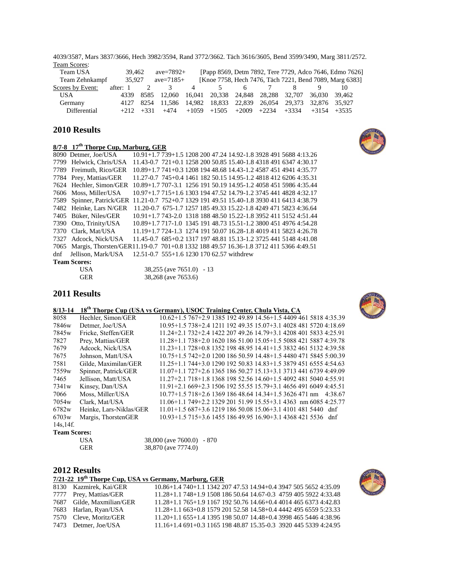4039/3587, Mars 3837/3666, Hech 3982/3594, Rand 3772/3662. Täch 3616/3605, Bend 3599/3490, Marg 3811/2572. Team Scores:

| Team USA         | 39.462   |             | $ave = 7892 +$                                                    |                |                                         |    |  | [Papp 8569, Detm 7892, Tere 7729, Adco 7646, Edmo 7626] |
|------------------|----------|-------------|-------------------------------------------------------------------|----------------|-----------------------------------------|----|--|---------------------------------------------------------|
| Team Zehnkampf   | 35.927   |             | $ave = 7185+$                                                     |                |                                         |    |  | [Knoe 7758, Hech 7476, Täch 7221, Bend 7089, Marg 6383] |
| Scores by Event: | after: 1 |             |                                                                   | $\overline{4}$ |                                         | n. |  |                                                         |
| USA <sup>.</sup> |          |             | 4339 8585 12.060 16.041 20.338 24.848 28.288 32.707 36.030 39.462 |                |                                         |    |  |                                                         |
| Germany          |          |             | 4127 8254 11.586 14.982 18.833 22.839 26.054 29.373 32.876 35.927 |                |                                         |    |  |                                                         |
| Differential     |          | $+212 +331$ | +474                                                              |                | $+1059$ $+1505$ $+2009$ $+2234$ $+3334$ |    |  | $+3154$ $+3535$                                         |

#### **2010 Results**

## 8/7-8 17<sup>th</sup> **Thorpe Cup, Marburg, GER**<br>8090 Detmer, Joe/USA 10.91+1.773

8090 Detmer, Joe/USA 10.91+1.7 739+1.5 1208 200 47.24 14.92-1.8 3928 491 5688 4:13.26 7799 Helwick, Chris/USA 11.43-0.7 721+0.1 1258 200 50.85 15.40-1.8 4318 491 6347 4:30.17 7789 Freimuth, Rico/GER 10.89+1.7 741+0.3 1208 194 48.68 14.43-1.2 4587 451 4941 4:35.77 7784 Prey, Mattias/GER 11.27-0.7 745+0.4 1461 182 50.15 14.95-1.2 4818 412 6206 4:35.31 7624 Hechler, Simon/GER 10.89+1.7 707-3.1 1256 191 50.19 14.95-1.2 4058 451 5986 4:35.44 7606 Moss, Miller/USA 10.97+1.7 715+1.6 1303 194 47.52 14.79-1.2 3745 441 4828 4:32.17 7589 Spinner, Patrick/GER 11.21-0.7 752+0.7 1329 191 49.51 15.40-1.8 3930 411 6413 4:38.79 7482 Heinke, Lars N/GER 11.20-0.7 675-1.7 1257 185 49.33 15.22-1.8 4249 471 5823 4:36.64 7405 Büker, Niles/GER 10.91+1.7 743-2.0 1318 188 48.50 15.22-1.8 3952 411 5152 4:51.44<br>7390 Otto, Trinity/USA 10.89+1.7 717-1.0 1345 191 48.73 15.51-1.2 3800 451 4976 4:54.28 7390 Otto, Trinity/USA 10.89+1.7 717-1.0 1345 191 48.73 15.51-1.2 3800 451 4976 4:54.28 7370 Clark, Mat/USA 11.19+1.7 724-1.3 1274 191 50.07 16.28-1.8 4019 411 5823 4:26.78 7327 Adcock, Nick/USA 11.45-0.7 685+0.2 1317 197 48.81 15.13-1.2 3725 441 5148 4:41.08 7065 Margis, Thorsten/GER11.19-0.7 701+0.8 1332 188 49.57 16.36-1.8 3712 411 5366 4:49.51 dnf Jellison, Mark/USA 12.51-0.7 555+1.6 1230 170 62.57 withdrew

| <b>Team Scores:</b> |  |
|---------------------|--|
|                     |  |

| USA | $38,255$ (ave $7651.0$ ) - 13 |  |
|-----|-------------------------------|--|
| GER | 38,268 (ave 7653.6)           |  |

#### **2011 Results**

#### **8/13-14 18th Thorpe Cup (USA vs Germany), USOC Training Center, Chula Vista, CA**

| 8058              | Hechler. Simon/GER      | 10.62+1.5 767+2.9 1385 192 49.89 14.56+1.5 4409 461 5818 4:35.39       |
|-------------------|-------------------------|------------------------------------------------------------------------|
| 7846w             | Detmer. Joe/USA         | 10.95 + 1.5 738 + 2.4 1211 192 49.35 15.07 + 3.1 4028 481 5720 4:18.69 |
| 7845w             | Fricke, Steffen/GER     | $11.24 + 2.1732 + 2.4142220749.2614.79 + 3.1420840158334:25.91$        |
| 7827              | Prey, Mattias/GER       | 11.28+1.1 738+2.0 1620 186 51.00 15.05+1.5 5088 421 5887 4:39.78       |
| 7679              | Adcock, Nick/USA        | $11.23+1.1728+0.8135219848.9514.41+1.5383246151324.39.58$              |
| 7675              | Johnson, Matt/USA       | 10.75+1.5 742+2.0 1200 186 50.59 14.48+1.5 4480 471 5845 5:00.39       |
| 7581              | Gilde. Maximilan/GER    | $11.25+1.1744+3.0129019250.8314.83+1.5387945165554:54.63$              |
| 7559 <sub>w</sub> | Spinner, Patrick/GER    | 11.07+1.1 727+2.6 1365 186 50.27 15.13+3.1 3713 441 6739 4:49.09       |
| 7465              | Jellison, Matt/USA      | $11.27+2.1718+1.8136819852.5614.60+1.5409248150404.55.91$              |
| 7341 <sub>w</sub> | Kinsey, Dan/USA         | 11.91+2.1 669+2.3 1506 192 55.55 15.79+3.1 4656 491 6049 4:45.51       |
| 7066              | Moss, Miller/USA        | $10.77+1.5718+2.6136918648.6414.34+1.53626471$ nm $-4.38.67$           |
| 7054w             | Clark. Mat/USA          | 11.06+1.1 749+2.2 1329 201 51.99 15.55+3.1 4363 nm 6085 4:25.77        |
| 6782w             | Heinke. Lars-Niklas/GER | $11.01+1.5687+3.6121918650.0815.06+3.141014815440$ dnf                 |
| 6703w             | Margis, ThorstenGER     | 10.93+1.5 715+3.6 1455 186 49.95 16.90+3.1 4368 421 5536 dnf           |
| 14s.14f.          |                         |                                                                        |

#### **Team Scores:**

| USA        | $38,000$ (ave $7600.0$ ) - 870 |  |
|------------|--------------------------------|--|
| <b>GER</b> | 38,870 (ave 7774.0)            |  |

#### **2012 Results**

#### **7/21-22 19th Thorpe Cup, USA vs Germany, Marburg, GER**

| 10.86+1.4 740+1.1 1342 207 47.53 14.94+0.4 3947 505 5652 4:35.09                                                                                         |
|----------------------------------------------------------------------------------------------------------------------------------------------------------|
| 11.28+1.1 748+1.9 1508 186 50.64 14.67-0.3 4759 405 5922 4:33.48                                                                                         |
| 11.28+1.1 765+1.9 1167 192 50.76 14.66+0.4 4014 465 6373 4:42.83                                                                                         |
| 11.28+1.1 663+0.8 1579 201 52.58 14.58+0.4 4442 495 6559 5:23.33                                                                                         |
| 11.20+1.1 655+1.4 1395 198 50.07 14.48+0.4 3998 465 5446 4:38.96                                                                                         |
| 11.16+1.4 691+0.3 1165 198 48.87 15.35-0.3 3920 445 5339 4:24.95                                                                                         |
| 8130 Kazmirek, Kai/GER<br>7777 Prey, Mattias/GER<br>7687 Gilde, Maxmilian/GER<br>7683 Harlan, Ryan/USA<br>7570 Cleve, Moritz/GER<br>7473 Detmer, Joe/USA |





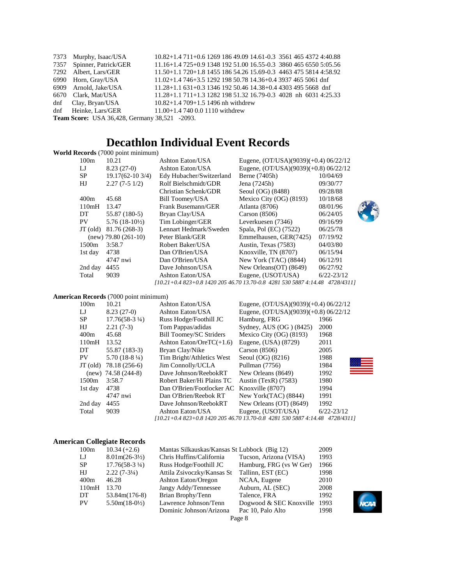|                                                      | 7373 Murphy, Isaac/USA    | 10.82+1.4 711+0.6 1269 186 49.09 14.61-0.3 3561 465 4372 4:40.88 |  |
|------------------------------------------------------|---------------------------|------------------------------------------------------------------|--|
|                                                      | 7357 Spinner, Patrick/GER | 11.16+1.4 725+0.9 1348 192 51.00 16.55-0.3 3860 465 6550 5:05.56 |  |
|                                                      | 7292 Albert, Lars/GER     | 11.50+1.1 720+1.8 1455 186 54.26 15.69-0.3 4463 475 5814 4:58.92 |  |
|                                                      | 6990 Horn, Gray/USA       | 11.02+1.4 746+3.5 1292 198 50.78 14.36+0.4 3937 465 5061 dnf     |  |
|                                                      | 6909 Arnold, Jake/USA     | $11.28 + 1.1631 + 0.3134619250.4614.38 + 0.443034955668$ dnf     |  |
|                                                      | 6670 Clark, Mat/USA       | 11.28+1.1 711+1.3 1282 198 51.32 16.79-0.3 4028 nh 6031 4:25.33  |  |
|                                                      | dnf Clay, Bryan/USA       | $10.82 + 1.4709 + 1.51496$ nh withdrew                           |  |
|                                                      | dnf Heinke, Lars/GER      | $11.00 + 1.47400.01110$ withdrew                                 |  |
| <b>Team Score:</b> USA 36,428, Germany 38,521 -2093. |                           |                                                                  |  |

## **Decathlon Individual Event Records**

#### **World Records** (7000 point minimum)

| 100m       | 10.21                    | Ashton Eaton/USA                                                             | Eugene, $(OT/USA)(9039)(+0.4) 06/22/12$ |                |
|------------|--------------------------|------------------------------------------------------------------------------|-----------------------------------------|----------------|
| IJ         | $8.23(27-0)$             | Ashton Eaton/USA                                                             | Eugene, $(OT/USA)(9039)(+0.8) 06/22/12$ |                |
| SP.        | $19.17(62-103/4)$        | Edy Hubacher/Switzerland                                                     | Berne (7405h)                           | 10/04/69       |
| HJ         | $2.27(7-51/2)$           | Rolf Bielschmidt/GDR                                                         | Jena (7245h)                            | 09/30/77       |
|            |                          | Christian Schenk/GDR                                                         | Seoul (OG) (8488)                       | 09/28/88       |
| 400m       | 45.68                    | Bill Toomey/USA                                                              | Mexico City $(OG)$ (8193)               | 10/18/68       |
| 110mH      | 13.47                    | Frank Busemann/GER                                                           | Atlanta (8706)                          | 08/01/96       |
| DT         | 55.87 (180-5)            | Bryan Clay/USA                                                               | Carson $(8506)$                         | 06/24/05       |
| PV.        | $5.76(18-10\frac{1}{2})$ | Tim Lobinger/GER                                                             | Leverkuesen (7346)                      | 09/16/99       |
| $JT$ (old) | 81.76 (268-3)            | Lennart Hedmark/Sweden                                                       | Spala, Pol (EC) (7522)                  | 06/25/78       |
|            | $(new)$ 79.80 $(261-10)$ | Peter Blank/GER                                                              | Emmelhausen, GER(7425)                  | 07/19/92       |
| 1500m      | 3:58.7                   | Robert Baker/USA                                                             | Austin, Texas (7583)                    | 04/03/80       |
| 1st day    | 4738                     | Dan O'Brien/USA                                                              | Knoxville, TN (8707)                    | 06/15/94       |
|            | 4747 nwi                 | Dan O'Brien/USA                                                              | New York (TAC) (8844)                   | 06/12/91       |
| 2nd day    | 4455                     | Dave Johnson/USA                                                             | New Orleans $(OT)$ (8649)               | 06/27/92       |
| Total      | 9039                     | Ashton Eaton/USA                                                             | Eugene, (USOT/USA)                      | $6/22 - 23/12$ |
|            |                          | [10.21+0.4 823+0.8 1420 205 46.70 13.70-0.8 4281 530 5887 4:14.48 4728/4311] |                                         |                |

#### **American Records** (7000 point minimum)

| 100m                                                                         | 10.21                    | Ashton Eaton/USA                           | Eugene, (OT/USA)(9039)(+0.4) 06/22/12   |                |
|------------------------------------------------------------------------------|--------------------------|--------------------------------------------|-----------------------------------------|----------------|
| IJ                                                                           | $8.23(27-0)$             | Ashton Eaton/USA                           | Eugene, $(OT/USA)(9039)(+0.8) 06/22/12$ |                |
| <b>SP</b>                                                                    | $17.76(58-3\frac{1}{4})$ | Russ Hodge/Foothill JC                     | Hamburg, FRG                            | 1966           |
| HJ                                                                           | $2.21(7-3)$              | Tom Pappas/adidas                          | Sydney, AUS (OG) (8425)                 | 2000           |
| 400m                                                                         | 45.68                    | <b>Bill Toomey/SC Striders</b>             | Mexico City $(OG)$ (8193)               | 1968           |
| 110mH                                                                        | 13.52                    | Ashton Eaton/Ore $TC(+1.6)$                | Eugene, (USA) (8729)                    | 2011           |
| DT.                                                                          | 55.87 (183-3)            | Bryan Clay/Nike                            | Carson $(8506)$                         | 2005           |
| PV.                                                                          | $5.70(18-8\frac{1}{4})$  | Tim Bright/Athletics West                  | Seoul $(OG)$ $(8216)$                   | 1988           |
| $JT$ (old)                                                                   | 78.18 (256-6)            | Jim Connolly/UCLA                          | Pullman (7756)                          | 1984           |
|                                                                              | $(new)$ 74.58 (244-8)    | Dave Johnson/ReebokRT                      | New Orleans (8649)                      | 1992           |
| 1500m                                                                        | 3:58.7                   | Robert Baker/Hi Plains TC                  | Austin (TexR) $(7583)$                  | 1980           |
| 1st day                                                                      | 4738                     | Dan O'Brien/Footlocker AC Knoxville (8707) |                                         | 1994           |
|                                                                              | 4747 nwi                 | Dan O'Brien/Reebok RT                      | New York(TAC) (8844)                    | 1991           |
| 2nd day                                                                      | 4455                     | Dave Johnson/ReebokRT                      | New Orleans (OT) (8649)                 | 1992           |
| Total                                                                        | 9039                     | Ashton Eaton/USA                           | Eugene, (USOT/USA)                      | $6/22 - 23/12$ |
| [10.21+0.4 823+0.8 1420 205 46.70 13.70-0.8 4281 530 5887 4:14.48 4728/4311] |                          |                                            |                                         |                |

#### **American Collegiate Records**

| 100m      | $10.34 (+2.6)$           | Mantas Silkauskas/Kansas St Lubbock (Big 12) |                         | 2009 |
|-----------|--------------------------|----------------------------------------------|-------------------------|------|
| IJ        | $8.01m(26-3\frac{1}{2})$ | Chris Huffins/California                     | Tucson, Arizona (VISA)  | 1993 |
| <b>SP</b> | $17.76(58-31/4)$         | Russ Hodge/Foothill JC                       | Hamburg, FRG (vs W Ger) | 1966 |
| HJ        | $2.22(7-3\frac{1}{4})$   | Attila Zsivoczky/Kansas St                   | Tallinn, EST (EC)       | 1998 |
| 400m      | 46.28                    | Ashton Eaton/Oregon                          | NCAA, Eugene            | 2010 |
| 110mH     | 13.70                    | Jangy Addy/Tennessee                         | Auburn, AL (SEC)        | 2008 |
| DT        | $53.84m(176-8)$          | Brian Brophy/Tenn                            | Talence, FRA            | 1992 |
| <b>PV</b> | $5.50m(18-0\frac{1}{2})$ | Lawrence Johnson/Tenn                        | Dogwood & SEC Knoxville | 1993 |
|           |                          | Dominic Johnson/Arizona                      | Pac 10, Palo Alto       | 1998 |
|           |                          |                                              | Page 8                  |      |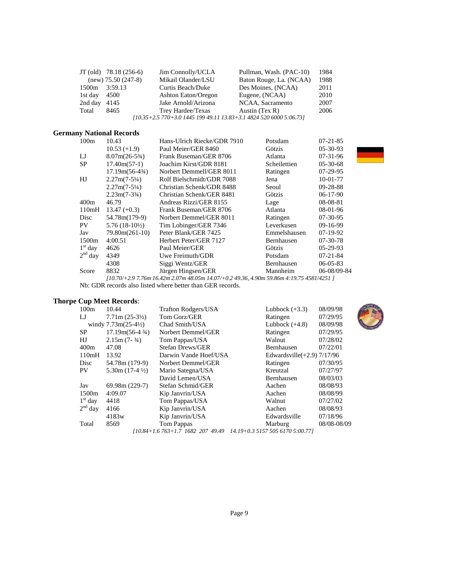|               | $JT$ (old) $78.18$ (256-6) | Jim Connolly/UCLA                                                  | Pullman, Wash. (PAC-10) | 1984 |
|---------------|----------------------------|--------------------------------------------------------------------|-------------------------|------|
|               | $(new)$ 75.50 (247-8)      | Mikail Olander/LSU                                                 | Baton Rouge, La. (NCAA) | 1988 |
| 1500m 3:59.13 |                            | Curtis Beach/Duke                                                  | Des Moines, (NCAA)      | 2011 |
| 1st day       | 4500                       | Ashton Eaton/Oregon                                                | Eugene, (NCAA)          | 2010 |
| 2nd day       | 4145                       | Jake Arnold/Arizona                                                | NCAA, Sacramento        | 2007 |
| Total         | 8465                       | Trey Hardee/Texas                                                  | Austin $(Tex R)$        | 2006 |
|               |                            | [10.35+2.5 770+3.0 1445 199 49.11 13.83+3.1 4824 520 6000 5:06.73] |                         |      |

#### **Germany National Records**

| 100m                                                                                     | 10.43                     | Hans-Ulrich Riecke/GDR 7910<br>$07 - 21 - 85$<br>Potsdam |              |                |
|------------------------------------------------------------------------------------------|---------------------------|----------------------------------------------------------|--------------|----------------|
|                                                                                          | $10.53 (+1.9)$            | Paul Meier/GER 8460                                      | Götzis       | $05-30-93$     |
| IJ                                                                                       | $8.07m(26-5\%)$           | Frank Buseman/GER 8706                                   | Atlanta      | $07-31-96$     |
| <b>SP</b>                                                                                | $17.40m(57-1)$            | Joachim Kirst/GDR 8181                                   | Scheilettien | $05-30-68$     |
|                                                                                          | $17.19m(56-4\frac{3}{4})$ | Norbert Demmell/GER 8011                                 | Ratingen     | $07-29-95$     |
| HJ                                                                                       | $2.27m(7-5\frac{1}{4})$   | Rolf Bielschmidt/GDR 7088                                | Jena         | 10-01-77       |
|                                                                                          | $2.27m(7-5\frac{1}{4})$   | Christian Schenk/GDR 8488                                | Seoul        | 09-28-88       |
|                                                                                          | $2.23m(7-3^{3}/4)$        | Christian Schenk/GER 8481                                | Götzis       | $06-17-90$     |
| 400m                                                                                     | 46.79                     | Andreas Rizzi/GER 8155                                   | Lage         | 08-08-81       |
| 110mH                                                                                    | $13.47 (+0.3)$            | Frank Buseman/GER 8706                                   | Atlanta      | 08-01-96       |
| Disc                                                                                     | 54.78m(179-9)             | Norbert Demmel/GER 8011                                  | Ratingen     | 07-30-95       |
| PV.                                                                                      | $5.76(18-10\%)$           | Tim Lobinger/GER 7346                                    | Leverkusen   | 09-16-99       |
| Jav                                                                                      | $79.80m(261-10)$          | Peter Blank/GER 7425                                     | Emmelshausen | $07-19-92$     |
| 1500m                                                                                    | 4:00.51                   | Herbert Peter/GER 7127                                   | Bernhausen   | 07-30-78       |
| $1st$ day                                                                                | 4626                      | Paul Meier/GER                                           | Götzis       | $05-29-93$     |
| $2nd$ day                                                                                | 4349                      | Uwe Freimuth/GDR                                         | Potsdam      | $07 - 21 - 84$ |
|                                                                                          | 4308                      | Siggi Wentz/GER                                          | Bernhausen   | $06 - 05 - 83$ |
| Score                                                                                    | 8832                      | Jürgen Hingsen/GER                                       | Mannheim     | 06-08/09-84    |
| [10.70/+2.9 7.76m 16.42m 2.07m 48.05m 14.07/+0.2 49.36, 4.90m 59.86m 4:19.75 4581/4251 ] |                           |                                                          |              |                |
| Nb: GDR records also listed where better than GER records.                               |                           |                                                          |              |                |

#### **Thorpe Cup Meet Records**:

| 100m      | 10.44                             | <b>Trafton Rodgers/USA</b>                                         | Lubbock $(+3.3)$              | 08/09/98    |
|-----------|-----------------------------------|--------------------------------------------------------------------|-------------------------------|-------------|
| IJ        | $7.71 \text{m} (25-3\frac{1}{2})$ | Tom Gorz/GER                                                       | Ratingen                      | 07/29/95    |
|           | windy $7.73m(25-4\frac{1}{2})$    | Chad Smith/USA                                                     | Lubbock $(+4.8)$              | 08/09/98    |
| <b>SP</b> | $17.19m(56-4\frac{3}{4})$         | Norbert Demmel/GER                                                 | Ratingen                      | 07/29/95    |
| HJ        | $2.15m(7-3/4)$                    | Tom Pappas/USA                                                     | Walnut                        | 07/28/02    |
| 400m      | 47.08                             | Stefan Drews/GER                                                   | Bernhausen                    | 07/22/01    |
| 110mH     | 13.92                             | Darwin Vande Hoef/USA                                              | Edwardsville $(+2.9)$ 7/17/96 |             |
| Disc      | 54.78m (179-9)                    | Norbert Demmel/GER                                                 | Ratingen                      | 07/30/95    |
| <b>PV</b> | $5.30m(17-4\frac{1}{2})$          | Mario Sategna/USA                                                  | Kreutzal                      | 07/27/97    |
|           |                                   | David Lemen/USA                                                    | Bernhausen                    | 08/03/03    |
| Jav       | $69.98m(229-7)$                   | Stefan Schmid/GER                                                  | Aachen                        | 08/08/93    |
| 1500m     | 4:09.07                           | Kip Janvrin/USA                                                    | Aachen                        | 08/08/99    |
| $1st$ day | 4418                              | Tom Pappas/USA                                                     | Walnut                        | 07/27/02    |
| $2nd$ day | 4166                              | Kip Janvrin/USA                                                    | Aachen                        | 08/08/93    |
|           | 4183w                             | Kip Janvrin/USA                                                    | Edwardsville                  | 07/18/96    |
| Total     | 8569                              | Tom Pappas                                                         | Marburg                       | 08/08-08/09 |
|           |                                   | [10.84+1.6 763+1.7 1682 207 49.49 14.19+0.3 5157 505 6170 5:00.77] |                               |             |



Page 9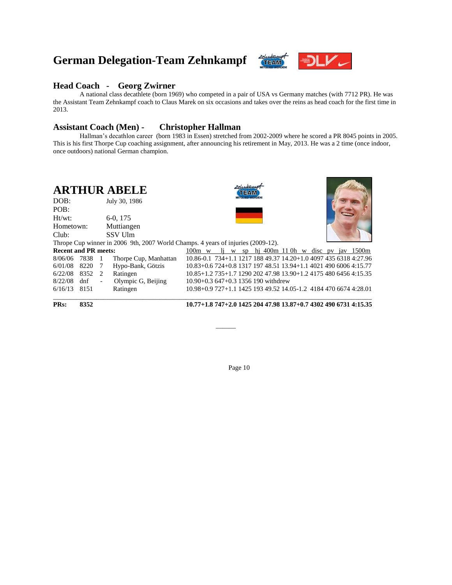## **German Delegation-Team Zehnkampf**



#### **Head Coach - Georg Zwirner**

A national class decathlete (born 1969) who competed in a pair of USA vs Germany matches (with 7712 PR). He was the Assistant Team Zehnkampf coach to Claus Marek on six occasions and takes over the reins as head coach for the first time in 2013.

#### **Assistant Coach (Men) - Christopher Hallman**

Hallman's decathlon career (born 1983 in Essen) stretched from 2002-2009 where he scored a PR 8045 points in 2005. This is his first Thorpe Cup coaching assignment, after announcing his retirement in May, 2013. He was a 2 time (once indoor, once outdoors) national German champion.

| <b>ARTHUR ABELE</b> |               |
|---------------------|---------------|
| DOB:                | July 30, 1986 |

Ht/wt: 6-0, 175 Hometown: Muttiangen





| Club:                       |                                                 |                          | <b>SSV</b> Ulm                                                                   |                                                                  |  |  |  |  |  |  |  |
|-----------------------------|-------------------------------------------------|--------------------------|----------------------------------------------------------------------------------|------------------------------------------------------------------|--|--|--|--|--|--|--|
|                             |                                                 |                          | Thrope Cup winner in 2006 9th, 2007 World Champs. 4 years of injuries (2009-12). |                                                                  |  |  |  |  |  |  |  |
| <b>Recent and PR meets:</b> | 100m w li w sp hi 400m 110h w disc pv jav 1500m |                          |                                                                                  |                                                                  |  |  |  |  |  |  |  |
| 8/06/06 7838 1              |                                                 |                          | Thorpe Cup, Manhattan                                                            | 10.86-0.1 734+1.1 1217 188 49.37 14.20+1.0 4097 435 6318 4:27.96 |  |  |  |  |  |  |  |
|                             |                                                 |                          | 6/01/08 8220 7 Hypo-Bank, Götzis                                                 | 10.83+0.6 724+0.8 1317 197 48.51 13.94+1.1 4021 490 6006 4:15.77 |  |  |  |  |  |  |  |
| $6/22/08$ 8352 2            |                                                 |                          | Ratingen                                                                         | 10.85+1.2 735+1.7 1290 202 47.98 13.90+1.2 4175 480 6456 4:15.35 |  |  |  |  |  |  |  |
| 8/22/08                     | dnf                                             | $\overline{\phantom{a}}$ | Olympic G, Beijing                                                               | $10.90 + 0.3647 + 0.31356190$ withdrew                           |  |  |  |  |  |  |  |
| $6/16/13$ 8151              |                                                 |                          | Ratingen                                                                         | 10.98+0.9 727+1.1 1425 193 49.52 14.05-1.2 4184 470 6674 4:28.01 |  |  |  |  |  |  |  |
|                             |                                                 |                          |                                                                                  |                                                                  |  |  |  |  |  |  |  |

POB:

**PRs: 8352 10.77+1.8 747+2.0 1425 204 47.98 13.87+0.7 4302 490 6731 4:15.35**

Page 10

\_\_\_\_\_\_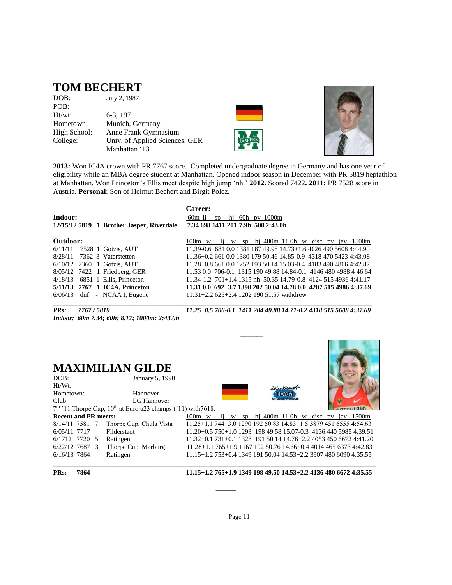## **TOM BECHERT**

| DOB:         | July 2, 1987                   |
|--------------|--------------------------------|
| POB:         |                                |
| Ht/wt:       | 6-3, 197                       |
| Hometown:    | Munich, Germany                |
| High School: | Anne Frank Gymnasium           |
| College:     | Univ. of Applied Sciences, GER |
|              | Manhattan '13                  |





**2013:** Won IC4A crown with PR 7767 score. Completed undergraduate degree in Germany and has one year of eligibility while an MBA degree student at Manhattan. Opened indoor season in December with PR 5819 heptathlon at Manhattan. Won Princeton's Ellis meet despite high jump 'nh.' **2012.** Scored 7422**. 2011:** PR 7528 score in Austria. **Personal**: Son of Helmut Bechert and Birgit Polcz.

|          |                                           | Career:                                                          |
|----------|-------------------------------------------|------------------------------------------------------------------|
| Indoor:  |                                           | 60m li<br>sp hi 60h pv $1000m$                                   |
|          | 12/15/12 5819 1 Brother Jasper, Riverdale | 7.34 698 1411 201 7.9h 500 2:43.0h                               |
| Outdoor: |                                           | li w sp hi 400m 110h w disc pv jav 1500m<br>$100m \text{ w}$     |
|          | 6/11/11 7528 1 Gotzis, AUT                | 11.39-0.6 681 0.0 1381 187 49.98 14.73+1.6 4026 490 5608 4:44.90 |
|          | 8/28/11 7362 3 Vaterstetten               | 11.36+0.2 661 0.0 1380 179 50.46 14.85-0.9 4318 470 5423 4:43.08 |
|          | $6/10/12$ 7360 1 Gotzis, AUT              | 11.28+0.8 661 0.0 1252 193 50.14 15.03-0.4 4183 490 4806 4:42.87 |
|          | 8/05/12 7422 1 Friedberg, GER             | 11.53 0.0 706-0.1 1315 190 49.88 14.84-0.1 4146 480 4988 4 46.64 |
|          | $4/18/13$ 6851 1 Ellis, Princeton         | 11.34-1.2 701+1.4 1315 nh 50.35 14.79-0.8 4124 515 4936 4:41.17  |
|          | 5/11/13 7767 1 IC4A, Princeton            | 11.31 0.0 692+3.7 1390 202 50.04 14.78 0.0 4207 515 4986 4:37.69 |
|          | $6/06/13$ dnf - NCAA I, Eugene            | $11.31 + 2.2625 + 2.4120219051.57$ withdrew                      |

 **\_\_\_\_\_\_\_**

*Indoor: 60m 7.34; 60h: 8.17; 1000m: 2:43.0h* 

*PRs: 7767 / 5819 11.25+0.5 706-0.1 1411 204 49.88 14.71-0.2 4318 515 5608 4:37.69* 

## **MAXIMILIAN GILDE**

| DOB:<br>Ht/Wt:              | January 5, 1990                                                  |                                                                  |   |    |  |                                     |  |  |  |
|-----------------------------|------------------------------------------------------------------|------------------------------------------------------------------|---|----|--|-------------------------------------|--|--|--|
| Hometown:                   | Hannover                                                         |                                                                  |   |    |  | TEAM                                |  |  |  |
| Club:                       | LG Hannover                                                      |                                                                  |   |    |  |                                     |  |  |  |
|                             | $7th$ '11 Thorpe Cup, $10th$ at Euro u23 champs ('11) with 7618. |                                                                  |   |    |  |                                     |  |  |  |
| <b>Recent and PR meets:</b> |                                                                  | $100m \text{ w}$                                                 | W | SD |  | hj 400m 11 0h w disc pv jav $1500m$ |  |  |  |
| 8/14/11 7581 7              | Thorpe Cup, Chula Vista                                          | 11.25+1.1 744+3.0 1290 192 50.83 14.83+1.5 3879 451 6555 4:54.63 |   |    |  |                                     |  |  |  |
| 6/05/11 7717                | Filderstadt                                                      | 11.20+0.5 750+1.0 1293 198 49.58 15.07-0.3 4136 440 5985 4:39.51 |   |    |  |                                     |  |  |  |
| 6/1712 7720 5<br>Ratingen   |                                                                  | $11.32+0.1731+0.11328$ 191 50.14 14.76+2.2 4053 450 6672 4:41.20 |   |    |  |                                     |  |  |  |
| 6/22/12 7687 3              | Thorpe Cup, Marburg                                              | $11.28+1.1765+1.916719250.7614.66+0.4401446563734:42.83$         |   |    |  |                                     |  |  |  |
| Ratingen<br>6/16/13 7864    |                                                                  | $11.15+1.2753+0.4134919150.0414.53+2.2390748060904:35.55$        |   |    |  |                                     |  |  |  |
|                             |                                                                  |                                                                  |   |    |  |                                     |  |  |  |

Page 11

\_\_\_\_\_\_

**PRs: 7864 11.15+1.2 765+1.9 1349 198 49.50 14.53+2.2 4136 480 6672 4:35.55**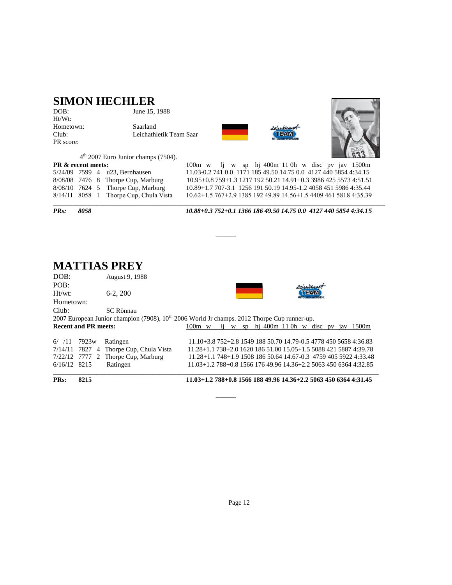## **SIMON HECHLER**

| DOB:      |
|-----------|
| $Ht/Wt$ : |
| Hometown: |
| Club:     |
| PR score: |

June 15, 1988

Saarland Leichathletik Team Saar





 $4<sup>th</sup>$  2007 Euro Junior champs (7504).

| <b>PR &amp; recent meets:</b><br>$100m$ w li w sp hi 400m 110h w disc pv jav 1500m                           |  |
|--------------------------------------------------------------------------------------------------------------|--|
| 11.03-0.2 741 0.0 1171 185 49.50 14.75 0.0 4127 440 5854 4:34.15<br>5/24/09 7599 4 u23, Bernhausen           |  |
| 10.95+0.8 759+1.3 1217 192 50.21 14.91+0.3 3986 425 5573 4:51.51<br>8/08/08 7476 8 Thorpe Cup, Marburg       |  |
| 10.89+1.7 707-3.1 1256 191 50.19 14.95-1.2 4058 451 5986 4:35.44<br>$8/08/10$ 7624 5 Thorpe Cup, Marburg     |  |
| 10.62+1.5 767+2.9 1385 192 49.89 14.56+1.5 4409 461 5818 4:35.39<br>$8/14/11$ 8058 1 Thorpe Cup, Chula Vista |  |

*PRs: 8058 10.88+0.3 752+0.1 1366 186 49.50 14.75 0.0 4127 440 5854 4:34.15*

# **MATTIAS PREY**

August 9, 1988 POB:<br>Ht/wt: 6-2, 200 TEAM Hometown: Club: SC Rönnau 2007 European Junior champion (7908),  $10^{th}$  2006 World Jr champs. 2012 Thorpe Cup runner-up.<br> **Recent and PR meets:** 100m w li w sp hi 400m 110h w d 100m w lj w sp hj 400m 11 0h w disc pv jav 1500m 6/ /11 7923w Ratingen 11.10+3.8 752+2.8 1549 188 50.70 14.79-0.5 4778 450 5658 4:36.83 7/14/11 7827 4 Thorpe Cup, Chula Vista 11.28+1.1 738+2.0 1620 186 51.00 15.05+1.5 5088 421 5887 4:39.78 7/22/12 7777 2 Thorpe Cup, Marburg 11.28+1.1 748+1.9 1508 186 50.64 14.67-0.3 4759 405 5922 4:33.48 6/16/12 8215 Ratingen 11.03+1.2 788+0.8 1566 176 49.96 14.36+2.2 5063 450 6364 4:32.85

 $\Box$ 

 $\overline{\phantom{a}}$ 

\_\_\_\_\_\_

**PRs: 8215 11.03+1.2 788+0.8 1566 188 49.96 14.36+2.2 5063 450 6364 4:31.45**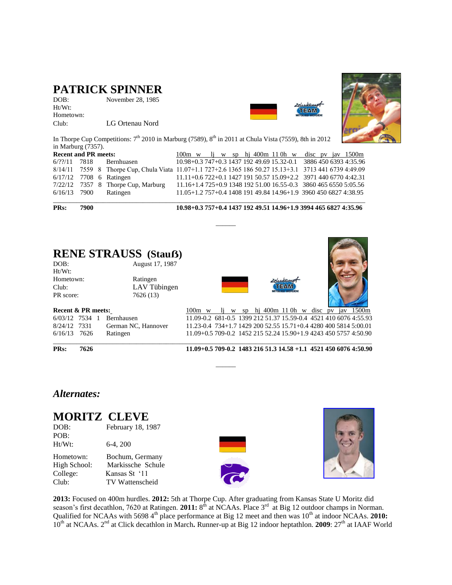## **PATRICK SPINNER**

DOB: November 28, 1985 Ht/Wt: Hometown: Club: LG Ortenau Nord





In Thorpe Cup Competitions:  $7<sup>th</sup>$  2010 in Marburg (7589),  $8<sup>th</sup>$  in 2011 at Chula Vista (7559), 8th in 2012 in Marburg (7357).

| <b>Recent and PR meets:</b> |  |                                                                                                         |  |  |  |  |  | $\frac{100m}{w}$ w li w sp hi 400m 110h w disc pv jav 1500m |                                                                  |
|-----------------------------|--|---------------------------------------------------------------------------------------------------------|--|--|--|--|--|-------------------------------------------------------------|------------------------------------------------------------------|
| $6/2$ ?/11 7818             |  | Bernhuasen                                                                                              |  |  |  |  |  |                                                             | 10.98+0.3 747+0.3 1437 192 49.69 15.32-0.1 3886 450 6393 4:35.96 |
|                             |  | 8/14/11 7559 8 Thorpe Cup, Chula Viata 11.07+1.1 727+2.6 1365 186 50.27 15.13+3.1 3713 441 6739 4:49.09 |  |  |  |  |  |                                                             |                                                                  |
|                             |  | $6/17/12$ 7708 6 Ratingen                                                                               |  |  |  |  |  |                                                             | 11.11+0.6 722+0.1 1427 191 50.57 15.09+2.2 3971 440 6770 4:42.31 |
|                             |  | $7/22/12$ 7357 8 Thorpe Cup, Marburg                                                                    |  |  |  |  |  |                                                             | 11.16+1.4 725+0.9 1348 192 51.00 16.55-0.3 3860 465 6550 5:05.56 |
|                             |  | $6/16/13$ 7900 Ratingen                                                                                 |  |  |  |  |  |                                                             | 11.05+1.2 757+0.4 1408 191 49.84 14.96+1.9 3960 450 6827 4:38.95 |
|                             |  |                                                                                                         |  |  |  |  |  |                                                             |                                                                  |

\_\_\_\_\_\_

**PRs: 7900 10.98+0.3 757+0.4 1437 192 49.51 14.96+1.9 3994 465 6827 4:35.96**

#### **RENE STRAUSS** (Stauß) August 17, 1987

| DUD.      | August 17, 1707 |
|-----------|-----------------|
| $Ht/Wt$ : |                 |
| Hometown: | Ratingen        |
| Club:     | LAV Tübingen    |
| PR score: | 7626 (13)       |
|           |                 |





| week as a model. |  |                                  |
|------------------|--|----------------------------------|
|                  |  | 6/03/12 7534 1 Bernhausen        |
|                  |  | 8/24/12 7331 German NC, Hannover |
|                  |  | 6/16/13 7626 Ratingen            |

**Recent & PR meets:** 100m w lj w sp hj 400m 11 0h w disc pv jav 1500m 11.09-0.2 681-0.5 1399 212 51.37 15.59-0.4 4521 410 6076 4:55.93 11.23-0.4 734+1.7 1429 200 52.55 15.71+0.4 4280 400 5814 5:00.01 11.09+0.5 709-0.2 1452 215 52.24 15.90+1.9 4243 450 5757 4:50.90  $\Box$ 

**PRs: 7626 11.09+0.5 709-0.2 1483 216 51.3 14.58 +1.1 4521 450 6076 4:50.90**

### *Alternates:*

## **MORITZ CLEVE**

| DOB:      | February 18, 1987 |
|-----------|-------------------|
| POB:      |                   |
| $Ht/Wt$ : | $6-4, 200$        |

Hometown: Bochum, Germany<br>High School: Markissche Schule Markissche Schule College: Kansas St '11 Club: TV Wattenscheid



 $\overline{\phantom{a}}$ 



**2013:** Focused on 400m hurdles. **2012:** 5th at Thorpe Cup. After graduating from Kansas State U Moritz did season's first decathlon, 7620 at Ratingen. **2011:** 8<sup>th</sup> at NCAAs. Place 3<sup>rd</sup> at Big 12 outdoor champs in Norman. Qualified for NCAAs with 5698 4<sup>th</sup> place performance at Big 12 meet and then was 10<sup>th</sup> at indoor NCAAs. **2010:** 10<sup>th</sup> at NCAAs. 2<sup>nd</sup> at Click decathlon in March. Runner-up at Big 12 indoor heptathlon. **2009**: 27<sup>th</sup> at IAAF World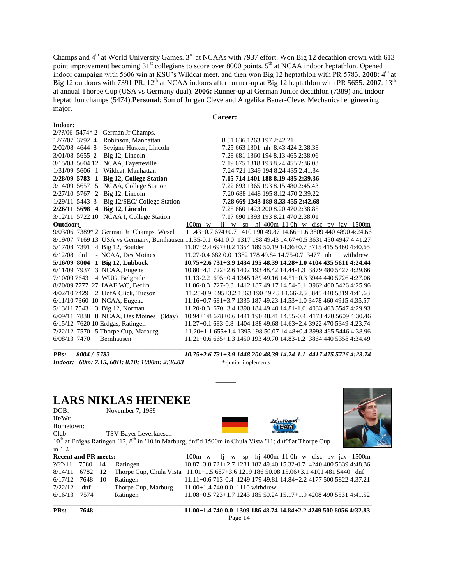Champs and  $4<sup>th</sup>$  at World University Games.  $3<sup>rd</sup>$  at NCAAs with 7937 effort. Won Big 12 decathlon crown with 613 point improvement becoming 31<sup>st</sup> collegians to score over 8000 points. 5<sup>th</sup> at NCAA indoor heptathlon. Opened indoor campaign with 5606 win at KSU's Wildcat meet, and then won Big 12 heptathlon with PR 5783. 2008: 4<sup>th</sup> at Big 12 outdoors with 7391 PR. 12<sup>th</sup> at NCAA indoors after runner-up at Big 12 heptathlon with PR 5655. 2007: 13<sup>th</sup> at annual Thorpe Cup (USA vs Germany dual). **2006:** Runner-up at German Junior decathlon (7389) and indoor heptathlon champs (5474).**Personal**: Son of Jurgen Cleve and Angelika Bauer-Cleve. Mechanical engineering major.

#### **Career:**

|                  |  | $2/??/06$ 5474* 2 German Jr Champs.                                                                         |                                                    |  |  |                                    |  |  |  |                                                                  |
|------------------|--|-------------------------------------------------------------------------------------------------------------|----------------------------------------------------|--|--|------------------------------------|--|--|--|------------------------------------------------------------------|
| 12/7/07 3792 4   |  | Robinson, Manhattan                                                                                         |                                                    |  |  | 8.51 636 1263 197 2:42.21          |  |  |  |                                                                  |
| 2/02/08 4644 8   |  | Sevigne Husker, Lincoln                                                                                     |                                                    |  |  | 7.25 663 1301 nh 8.43 424 2:38.38  |  |  |  |                                                                  |
| 3/01/08 5655 2   |  | Big 12, Lincoln                                                                                             |                                                    |  |  | 7.28 681 1360 194 8.13 465 2:38.06 |  |  |  |                                                                  |
|                  |  | 3/15/08 5604 12 NCAA, Fayetteville                                                                          |                                                    |  |  | 7.19 675 1318 193 8.24 455 2:36.03 |  |  |  |                                                                  |
| $1/31/09$ 5606 1 |  | Wildcat, Manhattan                                                                                          |                                                    |  |  | 7.24 721 1349 194 8.24 435 2:41.34 |  |  |  |                                                                  |
|                  |  | 2/28/09 5783 1 Big 12, College Station                                                                      |                                                    |  |  | 7.15 714 1401 188 8.19 485 2:39.36 |  |  |  |                                                                  |
|                  |  | 3/14/09 5657 5 NCAA, College Station                                                                        |                                                    |  |  | 7.22 693 1365 193 8.15 480 2:45.43 |  |  |  |                                                                  |
|                  |  | 2/27/10 5767 2 Big 12, Lincoln                                                                              |                                                    |  |  | 7.20 688 1448 195 8.12 470 2:39.22 |  |  |  |                                                                  |
|                  |  | $1/29/11$ 5443 3 Big $12/SEC/ College Station$                                                              |                                                    |  |  | 7.28 669 1343 189 8.33 455 2:42.68 |  |  |  |                                                                  |
|                  |  | 2/26/11 5698 4 Big 12, Lincoln                                                                              |                                                    |  |  | 7.25 660 1423 200 8.20 470 2:38.85 |  |  |  |                                                                  |
|                  |  | 3/12/11 5722 10 NCAA I, College Station                                                                     |                                                    |  |  | 7.17 690 1393 193 8.21 470 2:38.01 |  |  |  |                                                                  |
| Outdoor:         |  |                                                                                                             | $100m$ w                                           |  |  |                                    |  |  |  | $\frac{1}{2}$ w sp h 400m 110h w disc pv jav 1500m               |
|                  |  | 9/03/06 7389* 2 German Jr Champs, Wesel                                                                     |                                                    |  |  |                                    |  |  |  | 11.43+0.7 674+0.7 1410 190 49.87 14.66+1.6 3809 440 4890 4:24.66 |
|                  |  | 8/19/07 7169 13 USA vs Germany, Bernhausen 11.35-0.1 641 0.0 1317 188 49.43 14.67+0.5 3631 450 4947 4:41.27 |                                                    |  |  |                                    |  |  |  |                                                                  |
|                  |  | 5/17/08 7391 4 Big 12, Boulder                                                                              |                                                    |  |  |                                    |  |  |  | 11.07+2.4 697+0.2 1354 189 50.19 14.36+0.7 3715 415 5460 4:40.65 |
| $6/12/08$ dnf    |  | - NCAA, Des Moines                                                                                          | 11.27-0.4 682 0.0 1382 178 49.84 14.75-0.7 3477 nh |  |  |                                    |  |  |  | withdrew                                                         |
|                  |  | 5/16/09 8004 1 Big 12, Lubbock                                                                              |                                                    |  |  |                                    |  |  |  | 10.75+2.6 731+3.9 1434 195 48.39 14.28+1.0 4104 435 5611 4:24.44 |
|                  |  | 6/11/09 7937 3 NCAA, Eugene                                                                                 |                                                    |  |  |                                    |  |  |  | 10.80+4.1 722+2.6 1402 193 48.42 14.44-1.3 3879 480 5427 4:29.66 |
| 7/10/09 7643     |  | 4 WUG, Belgrade                                                                                             |                                                    |  |  |                                    |  |  |  | 11.13-2.2 695+0.4 1345 189 49.16 14.51+0.3 3944 440 5726 4:27.06 |
|                  |  | 8/20/09 7777 27 IAAF WC, Berlin                                                                             |                                                    |  |  |                                    |  |  |  | 11.06-0.3 727-0.3 1412 187 49.17 14.54-0.1 3962 460 5426 4:25.96 |
|                  |  | 4/02/10 7429 2 UofA Click, Tucson                                                                           |                                                    |  |  |                                    |  |  |  | 11.25-0.9 695+3.2 1363 190 49.45 14.66-2.5 3845 440 5319 4:41.63 |
|                  |  | 6/11/10 7360 10 NCAA, Eugene                                                                                |                                                    |  |  |                                    |  |  |  | 11.16+0.7 681+3.7 1335 187 49.23 14.53+1.0 3478 460 4915 4:35.57 |
|                  |  | 5/13/11 7543 3 Big 12, Norman                                                                               |                                                    |  |  |                                    |  |  |  | 11.20-0.3 670+3.4 1390 184 49.40 14.81-1.6 4033 463 5547 4:29.93 |
|                  |  | $6/09/11$ 7838 8 NCAA, Des Moines (3day)                                                                    |                                                    |  |  |                                    |  |  |  | 10.94+1/8 678+0.6 1441 190 48.41 14.55-0.4 4178 470 5609 4:30.46 |
|                  |  | 6/15/12 7620 10 Erdgas, Ratingen                                                                            |                                                    |  |  |                                    |  |  |  | 11.27+0.1 683-0.8 1404 188 49.68 14.63+2.4 3922 470 5349 4:23.74 |
|                  |  | 7/22/12 7570 5 Thorpe Cup, Marburg                                                                          |                                                    |  |  |                                    |  |  |  | 11.20+1.1 655+1.4 1395 198 50.07 14.48+0.4 3998 465 5446 4:38.96 |
| 6/08/13 7470     |  | Bernhausen                                                                                                  |                                                    |  |  |                                    |  |  |  | 11.21+0.6 665+1.3 1450 193 49.70 14.83-1.2 3864 440 5358 4:34.49 |
|                  |  |                                                                                                             |                                                    |  |  |                                    |  |  |  |                                                                  |

**Indoor:**

*Indoor: 60m: 7.15, 60H: 8.10; 1000m: 2:36.03* \*-junior implements

*PRs: 8004 / 5783 10.75+2.6 731+3.9 1448 200 48.39 14.24-1.1 4417 475 5726 4:23.74*

## **LARS NIKLAS HEINEKE**

| DOB:                           |      |                          | November 7, 1989                                                                                            |                                                                  |  |  |                                       |  |  |  |
|--------------------------------|------|--------------------------|-------------------------------------------------------------------------------------------------------------|------------------------------------------------------------------|--|--|---------------------------------------|--|--|--|
| $Ht/Wt$ :                      |      |                          |                                                                                                             |                                                                  |  |  | Zehnkam                               |  |  |  |
| Hometown:                      |      |                          |                                                                                                             |                                                                  |  |  | ™≥∆M                                  |  |  |  |
| Club:                          |      |                          | TSV Bayer Leverkuesen                                                                                       |                                                                  |  |  |                                       |  |  |  |
|                                |      |                          | $10th$ at Erdgas Ratingen '12, $8th$ in '10 in Marburg, dnf'd 1500m in Chula Vista '11; dnf'f at Thorpe Cup |                                                                  |  |  |                                       |  |  |  |
| in $12$                        |      |                          |                                                                                                             |                                                                  |  |  |                                       |  |  |  |
| <b>Recent and PR meets:</b>    |      |                          |                                                                                                             | $100m \text{ w}$                                                 |  |  | w sp hj 400m 110h w disc pv jav 1500m |  |  |  |
| $\frac{7}{2}\frac{2}{11}$ 7580 |      | - 14                     | Ratingen                                                                                                    | 10.87+3.8 721+2.7 1281 182 49.40 15.32-0.7 4240 480 5639 4:48.36 |  |  |                                       |  |  |  |
| 8/14/11                        | 6782 | 12                       | Thorpe Cup, Chula Vista 11.01+1.5 687+3.6 1219 186 50.08 15.06+3.1 4101 481 5440 dnf                        |                                                                  |  |  |                                       |  |  |  |
| 6/17/12                        | 7648 | 10                       | Ratingen                                                                                                    | $11.11+0.6713-0.4124917949.8114.84+2.2417750058224:37.21$        |  |  |                                       |  |  |  |
| 7/22/12                        | dnf  | $\overline{\phantom{a}}$ | Thorpe Cup, Marburg                                                                                         | 11.00+1.4 740 0.0 1110 withdrew                                  |  |  |                                       |  |  |  |
| 6/16/13                        | 7574 |                          | Ratingen                                                                                                    | 11.08+0.5 723+1.7 1243 185 50.24 15.17+1.9 4208 490 5531 4:41.52 |  |  |                                       |  |  |  |
|                                |      |                          |                                                                                                             |                                                                  |  |  |                                       |  |  |  |

\_\_\_\_\_\_

**PRs: 7648 11.00+1.4 740 0.0 1309 186 48.74 14.84+2.2 4249 500 6056 4:32.83** Page 14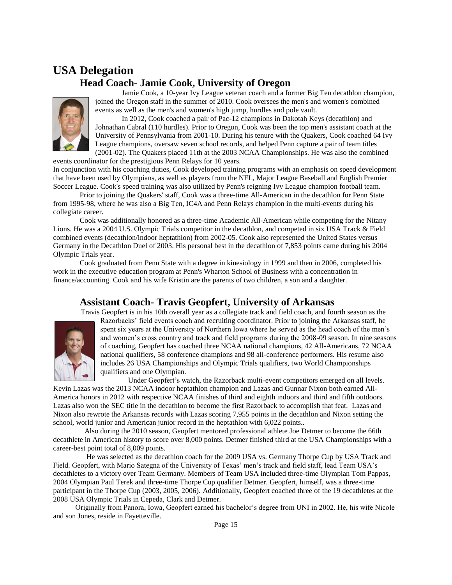## **USA Delegation Head Coach- Jamie Cook, University of Oregon**



Jamie Cook, a 10-year Ivy League veteran coach and a former Big Ten decathlon champion, joined the Oregon staff in the summer of 2010. Cook oversees the men's and women's combined events as well as the men's and women's high jump, hurdles and pole vault.

In 2012, Cook coached a pair of Pac-12 champions in Dakotah Keys (decathlon) and Johnathan Cabral (110 hurdles). Prior to Oregon, Cook was been the top men's assistant coach at the University of Pennsylvania from 2001-10. During his tenure with the Quakers, Cook coached 64 Ivy League champions, oversaw seven school records, and helped Penn capture a pair of team titles (2001-02). The Quakers placed 11th at the 2003 NCAA Championships. He was also the combined events coordinator for the prestigious Penn Relays for 10 years.

In conjunction with his coaching duties, Cook developed training programs with an emphasis on speed development that have been used by Olympians, as well as players from the NFL, Major League Baseball and English Premier Soccer League. Cook's speed training was also utilized by Penn's reigning Ivy League champion football team.

Prior to joining the Quakers' staff, Cook was a three-time All-American in the decathlon for Penn State from 1995-98, where he was also a Big Ten, IC4A and Penn Relays champion in the multi-events during his collegiate career.

Cook was additionally honored as a three-time Academic All-American while competing for the Nitany Lions. He was a 2004 U.S. Olympic Trials competitor in the decathlon, and competed in six USA Track & Field combined events (decathlon/indoor heptathlon) from 2002-05. Cook also represented the United States versus Germany in the Decathlon Duel of 2003. His personal best in the decathlon of 7,853 points came during his 2004 Olympic Trials year.

Cook graduated from Penn State with a degree in kinesiology in 1999 and then in 2006, completed his work in the executive education program at Penn's Wharton School of Business with a concentration in finance/accounting. Cook and his wife Kristin are the parents of two children, a son and a daughter.

## **Assistant Coach- Travis Geopfert, University of Arkansas**

Travis Geopfert is in his 10th overall year as a collegiate track and field coach, and fourth season as the



Razorbacks' field events coach and recruiting coordinator. Prior to joining the Arkansas staff, he spent six years at the University of Northern Iowa where he served as the head coach of the men's and women's cross country and track and field programs during the 2008-09 season. In nine seasons of coaching, Geopfert has coached three NCAA national champions, 42 All-Americans, 72 NCAA national qualifiers, 58 conference champions and 98 all-conference performers. His resume also includes 26 USA Championships and Olympic Trials qualifiers, two World Championships qualifiers and one Olympian.

 Under Geopfert's watch, the Razorback multi-event competitors emerged on all levels. Kevin Lazas was the 2013 NCAA indoor heptathlon champion and Lazas and Gunnar Nixon both earned All-America honors in 2012 with respective NCAA finishes of third and eighth indoors and third and fifth outdoors. Lazas also won the SEC title in the decathlon to become the first Razorback to accomplish that feat. Lazas and Nixon also rewrote the Arkansas records with Lazas scoring 7,955 points in the decathlon and Nixon setting the school, world junior and American junior record in the heptathlon with 6,022 points..

 Also during the 2010 season, Geopfert mentored professional athlete Joe Detmer to become the 66th decathlete in American history to score over 8,000 points. Detmer finished third at the USA Championships with a career-best point total of 8,009 points.

 He was selected as the decathlon coach for the 2009 USA vs. Germany Thorpe Cup by USA Track and Field. Geopfert, with Mario Sategna of the University of Texas' men's track and field staff, lead Team USA's decathletes to a victory over Team Germany. Members of Team USA included three-time Olympian Tom Pappas, 2004 Olympian Paul Terek and three-time Thorpe Cup qualifier Detmer. Geopfert, himself, was a three-time participant in the Thorpe Cup (2003, 2005, 2006). Additionally, Geopfert coached three of the 19 decathletes at the 2008 USA Olympic Trials in Cepeda, Clark and Detmer.

 Originally from Panora, Iowa, Geopfert earned his bachelor's degree from UNI in 2002. He, his wife Nicole and son Jones, reside in Fayetteville.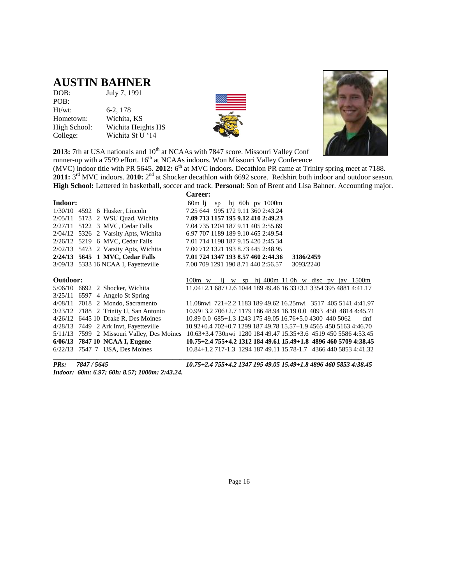## **AUSTIN BAHNER**

| DOB:         | July 7, 1991       |
|--------------|--------------------|
| POB:         |                    |
| Ht/wt:       | 6-2, 178           |
| Hometown:    | Wichita, KS        |
| High School: | Wichita Heights HS |
| College:     | Wichita St U '14   |





**2013:** 7th at USA nationals and 10<sup>th</sup> at NCAAs with 7847 score. Missouri Valley Conf runner-up with a 7599 effort. 16<sup>th</sup> at NCAAs indoors. Won Missouri Valley Conference

(MVC) indoor title with PR 5645. 2012: 6<sup>th</sup> at MVC indoors. Decathlon PR came at Trinity spring meet at 7188. 2011: 3<sup>rd</sup> MVC indoors. 2010: 2<sup>nd</sup> at Shocker decathlon with 6692 score. Redshirt both indoor and outdoor season. **High School:** Lettered in basketball, soccer and track. **Personal**: Son of Brent and Lisa Bahner. Accounting major.

|          |                                            | Career:                                                            |
|----------|--------------------------------------------|--------------------------------------------------------------------|
| Indoor:  |                                            | 60m li<br>hi 60h py $1000m$<br>SD                                  |
|          | $1/30/10$ 4592 6 Husker, Lincoln           | 7.25 644 995 172 9.11 360 2:43.24                                  |
|          | 2/05/11 5173 2 WSU Quad, Wichita           | 7.09 713 1157 195 9.12 410 2:49.23                                 |
|          | 2/27/11 5122 3 MVC, Cedar Falls            | 7.04 735 1204 187 9.11 405 2:55.69                                 |
|          | $2/04/12$ 5326 2 Varsity Apts, Wichita     | 6.97 707 1189 189 9.10 465 2:49.54                                 |
|          | 2/26/12 5219 6 MVC, Cedar Falls            | 7.01 714 1198 187 9.15 420 2:45.34                                 |
|          | 2/02/13 5473 2 Varsity Apts, Wichita       | 7.00 712 1321 193 8.73 445 2:48.95                                 |
|          | 2/24/13 5645 1 MVC, Cedar Falls            | 7.01 724 1347 193 8.57 460 2:44.36<br>3186/2459                    |
|          | 3/09/13 5333 16 NCAA I, Fayetteville       | 7.00 709 1291 190 8.71 440 2:56.57<br>3093/2240                    |
|          |                                            |                                                                    |
| Outdoor: |                                            | li w sp hi 400m 110h w disc pv jav 1500m<br>$100m \text{ w}$       |
|          | 5/06/10 6692 2 Shocker, Wichita            | $11.04+2.1$ 687+2.6 1044 189 49.46 16.33+3.1 3354 395 4881 4:41.17 |
|          | $3/25/11$ 6597 4 Angelo St Spring          |                                                                    |
|          | $4/08/11$ 7018 2 Mondo, Sacramento         | 11.08nwi 721+2.2 1183 189 49.62 16.25nwi 3517 405 5141 4:41.97     |
|          | 3/23/12 7188 2 Trinity U, San Antonio      | 10.99+3.2 706+2.7 1179 186 48.94 16.19 0.0 4093 450 4814 4:45.71   |
|          | 4/26/12 6445 10 Drake R, Des Moines        | 10.89 0.0 685+1.3 1243 175 49.05 16.76+5.0 4300 440 5062<br>dnf    |
|          | 4/28/13 7449 2 Ark Invt, Fayetteville      | $10.92+0.4702+0.7129918749.7815.57+1.9456545051634:46.70$          |
|          | 5/11/13 7599 2 Missouri Valley, Des Moines | 10.63+3.4 730 h 1280 184 49.47 15.35+3.6 4519 450 5586 4:53.45     |
|          | 6/06/13 7847 10 NCAA I, Eugene             | 10.75+2.4 755+4.2 1312 184 49.61 15.49+1.8 4896 460 5709 4:38.45   |
|          | 6/22/13 7547 7 USA, Des Moines             | 10.84+1.2 717-1.3 1294 187 49.11 15.78-1.7 4366 440 5853 4:41.32   |
|          |                                            |                                                                    |

*Indoor: 60m: 6.97; 60h: 8.57; 1000m: 2:43.24.* 

*PRs: 7847 / 5645 10.75+2.4 755+4.2 1347 195 49.05 15.49+1.8 4896 460 5853 4:38.45*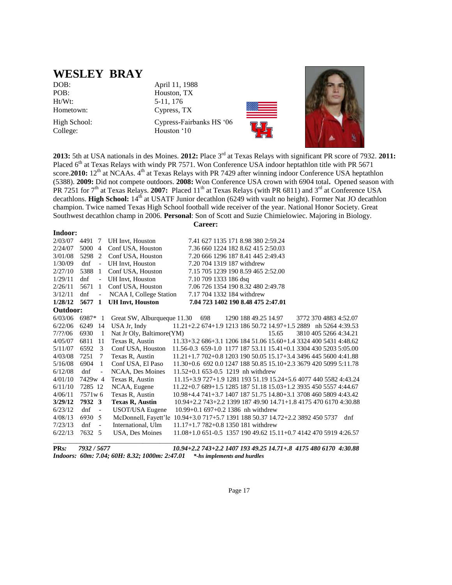## **WESLEY BRAY**

Ht/Wt: 5-11, 176

College: Houston '10

DOB: April 11, 1988 POB: Houston, TX Hometown: Cypress, TX High School: Cypress-Fairbanks HS '06





**2013:** 5th at USA nationals in des Moines. **2012:** Place 3rd at Texas Relays with significant PR score of 7932. **2011:**  Placed 6<sup>th</sup> at Texas Relays with windy PR 7571. Won Conference USA indoor heptathlon title with PR 5671 score.**2010:** 12<sup>th</sup> at NCAAs. 4<sup>th</sup> at Texas Relays with PR 7429 after winning indoor Conference USA heptathlon (5388). **2009:** Did not compete outdoors. **2008:** Won Conference USA crown with 6904 total**.** Opened season with PR 7251 for 7<sup>th</sup> at Texas Relays. **2007:** Placed 11<sup>th</sup> at Texas Relays (with PR 6811) and 3<sup>rd</sup> at Conference USA decathlons. **High School:** 14<sup>th</sup> at USATF Junior decathlon (6249 with vault no height). Former Nat JO decathlon champion. Twice named Texas High School football wide receiver of the year. National Honor Society. Great Southwest decathlon champ in 2006. **Personal**: Son of Scott and Suzie Chimielowiec. Majoring in Biology.

#### **Indoor:**

**Career:**

| 2/03/07     | 4491     | 7                        | UH Invt, Houston                                                              |                                                                  |                       | 7.41 627 1135 171 8.98 380 2:59.24     |                                                                  |                       |     |
|-------------|----------|--------------------------|-------------------------------------------------------------------------------|------------------------------------------------------------------|-----------------------|----------------------------------------|------------------------------------------------------------------|-----------------------|-----|
| 2/24/07     | 5000     | $\overline{4}$           | Conf USA, Houston                                                             |                                                                  |                       | 7.36 660 1224 182 8.62 415 2:50.03     |                                                                  |                       |     |
| 3/01/08     | 5298     | 2                        | Conf USA, Houston                                                             |                                                                  |                       | 7.20 666 1296 187 8.41 445 2:49.43     |                                                                  |                       |     |
| 1/30/09     | dnf      | $\blacksquare$           | UH Invt, Houston                                                              |                                                                  |                       | 7.20 704 1319 187 withdrew             |                                                                  |                       |     |
| 2/27/10     | 5388     | -1                       | Conf USA, Houston                                                             |                                                                  |                       | 7.15 705 1239 190 8.59 465 2:52.00     |                                                                  |                       |     |
| 1/29/11     | dnf      | $\blacksquare$           | UH Invt, Houston                                                              |                                                                  | 7.10 709 1333 186 dsq |                                        |                                                                  |                       |     |
| 2/26/11     | 5671     | -1                       | Conf USA, Houston                                                             |                                                                  |                       | 7.06 726 1354 190 8.32 480 2:49.78     |                                                                  |                       |     |
| 3/12/11     | dnf      | $\overline{\phantom{a}}$ | NCAA I, College Station                                                       |                                                                  |                       | 7.17 704 1332 184 withdrew             |                                                                  |                       |     |
| 1/28/12     | 5677     | $\mathbf{1}$             | <b>UH Invt, Houston</b>                                                       |                                                                  |                       | 7.04 723 1402 190 8.48 475 2:47.01     |                                                                  |                       |     |
| Outdoor:    |          |                          |                                                                               |                                                                  |                       |                                        |                                                                  |                       |     |
| 6/03/06     | $6987*1$ |                          | Great SW, Alburqueque 11.30 698                                               |                                                                  |                       |                                        | 1290 188 49.25 14.97                                             | 3772 370 4883 4:52.07 |     |
| 6/22/06     | 6249     | -14                      | USA Jr, Indy                                                                  | 11.21+2.2 674+1.9 1213 186 50.72 14.97+1.5 2889 nh 5264 4:39.53  |                       |                                        |                                                                  |                       |     |
| $7/??\; 06$ | 6930     | $\overline{1}$           | Nat Jr Oly, Baltimore (YM)                                                    |                                                                  |                       |                                        | 15.65                                                            | 3810 405 5266 4:34.21 |     |
| 4/05/07     | 6811     | 11                       | Texas R, Austin                                                               |                                                                  |                       |                                        | 11.33+3.2 686+3.1 1206 184 51.06 15.60+1.4 3324 400 5431 4:48.62 |                       |     |
| 5/11/07     | 6592     | 3                        | Conf USA, Houston                                                             | 11.56-0.3 659-1.0 1177 187 53.11 15.41+0.1 3304 430 5203 5:05.00 |                       |                                        |                                                                  |                       |     |
| 4/03/08     | 7251     | 7                        | Texas R, Austin                                                               |                                                                  |                       |                                        | 11.21+1.7 702+0.8 1203 190 50.05 15.17+3.4 3496 445 5600 4:41.88 |                       |     |
| 5/16/08     | 6904     | -1                       | Conf USA, El Paso                                                             |                                                                  |                       |                                        | 11.30+0.6 692 0.0 1247 188 50.85 15.10+2.3 3679 420 5099 5:11.78 |                       |     |
| 6/12/08     | dnf      | $\overline{\phantom{a}}$ | NCAA, Des Moines                                                              | $11.52+0.1$ 653-0.5 1219 nh withdrew                             |                       |                                        |                                                                  |                       |     |
| 4/01/10     | 7429w 4  |                          | Texas R, Austin                                                               |                                                                  |                       |                                        | 11.15+3.9 727+1.9 1281 193 51.19 15.24+5.6 4077 440 5582 4:43.24 |                       |     |
| 6/11/10     | 7285 12  |                          | NCAA, Eugene                                                                  |                                                                  |                       |                                        | 11.22+0.7 689+1.5 1285 187 51.18 15.03+1.2 3935 450 5557 4:44.67 |                       |     |
| 4/06/11     | 7571w6   |                          | Texas R, Austin                                                               |                                                                  |                       |                                        | 10.98+4.4 741+3.7 1407 187 51.75 14.80+3.1 3708 460 5809 4:43.42 |                       |     |
| 3/29/12     | 7932 3   |                          | <b>Texas R, Austin</b>                                                        |                                                                  |                       |                                        | 10.94+2.2 743+2.2 1399 187 49.90 14.71+1.8 4175 470 6170 4:30.88 |                       |     |
| 6/23/12     | dnf      | $\sim$                   | USOT/USA Eugene                                                               |                                                                  |                       | $10.99 + 0.1697 + 0.21386$ nh withdrew |                                                                  |                       |     |
| 4/08/13     | 6930 5   |                          | McDonnell, Fayett'le 10.94+3.0 717+5.7 1391 188 50.37 14.72+2.2 3892 450 5737 |                                                                  |                       |                                        |                                                                  |                       | dnf |
| 7/23/13     | dnf      | $\blacksquare$           | International, Ulm                                                            | $11.17+1.7782+0.81350181$ withdrew                               |                       |                                        |                                                                  |                       |     |
| 6/22/13     | 7632 5   |                          | USA, Des Moines                                                               |                                                                  |                       |                                        | 11.08+1.0 651-0.5 1357 190 49.62 15.11+0.7 4142 470 5919 4:26.57 |                       |     |
|             |          |                          |                                                                               |                                                                  |                       |                                        |                                                                  |                       |     |

**PRs***: 7932 / 5677 10.94+2.2 743+2.2 1407 193 49.25 14.71+.8 4175 480 6170 4:30.88 Indoors: 60m: 7.04; 60H: 8.32; 1000m: 2:47.01 \*-hs implements and hurdles*

Page 17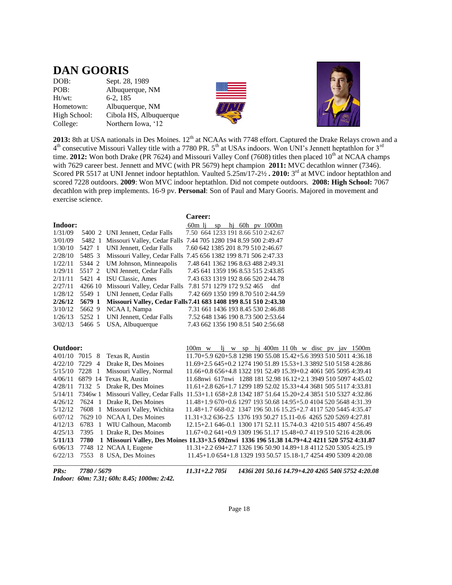## **DAN GOORIS**

| DOB:         | Sept. 28, 1989         |
|--------------|------------------------|
| POB:         | Albuquerque, NM        |
| $Ht/wt$ :    | $6-2, 185$             |
| Hometown:    | Albuquerque, NM        |
| High School: | Cibola HS, Albuquerque |
| College:     | Northern Iowa, '12     |





**2013:** 8th at USA nationals in Des Moines. 12<sup>th</sup> at NCAAs with 7748 effort. Captured the Drake Relays crown and a  $4<sup>th</sup>$  consecutive Missouri Valley title with a 7780 PR. 5<sup>th</sup> at USAs indoors. Won UNI's Jennett heptathlon for 3<sup>rd</sup> time. **2012:** Won both Drake (PR 7624) and Missouri Valley Conf (7608) titles then placed 10<sup>th</sup> at NCAA champs with 7629 career best. Jennett and MVC (with PR 5679) hept champion **2011:** MVC decathlon winner (7346). Scored PR 5517 at UNI Jennet indoor heptathlon. Vaulted 5.25m/17-2½ **. 2010:** 3<sup>rd</sup> at MVC indoor heptathlon and scored 7228 outdoors. **2009**: Won MVC indoor heptathlon. Did not compete outdoors. **2008: High School:** 7067 decathlon with prep implements. 16-9 pv. **Personal**: Son of Paul and Mary Gooris. Majored in movement and exercise science.

**Career:**

| Indoor:          |         |                                 | hj 60h pv $1000m$<br>$60m$ lj sp                                                                      |
|------------------|---------|---------------------------------|-------------------------------------------------------------------------------------------------------|
| 1/31/09          |         | 5400 2 UNI Jennett, Cedar Falls | 7.50 664 1233 191 8.66 510 2:42.67                                                                    |
| 3/01/09          |         |                                 | 5482 1 Missouri Valley, Cedar Falls 7.44 705 1280 194 8.59 500 2:49.47                                |
| 1/30/10          | 5427 1  | UNI Jennett, Cedar Falls        | 7.60 642 1385 201 8.79 510 2:46.67                                                                    |
| 2/28/10          | 5485 3  |                                 | Missouri Valley, Cedar Falls 7.45 656 1382 199 8.71 506 2:47.33                                       |
| 1/22/11          | 5344 2  | UM Johnson, Minneapolis         | 7.48 641 1362 196 8.63 488 2:49.31                                                                    |
| 1/29/11          | 5517 2  | UNI Jennett, Cedar Falls        | 7.45 641 1359 196 8.53 515 2:43.85                                                                    |
| 2/11/11          | 5421 4  | ISU Classic, Ames               | 7.43 633 1319 192 8.66 520 2:44.78                                                                    |
| 2/27/11          | 4266 10 | Missouri Valley, Cedar Falls    | 7.81 571 1279 172 9.52 465<br>dnf                                                                     |
| 1/28/12          | 5549 1  | <b>UNI Jennett, Cedar Falls</b> | 7.42 669 1350 199 8.70 510 2:44.59                                                                    |
| 2/26/12          | 5679 1  |                                 | Missouri Valley, Cedar Falls 7.41 683 1408 199 8.51 510 2:43.30                                       |
| 3/10/12          | 5662 9  | NCAA I, Nampa                   | 7.31 661 1436 193 8.45 530 2:46.88                                                                    |
| 1/26/13          | 5252 1  | <b>UNI Jennett, Cedar Falls</b> | 7.52 648 1346 190 8.73 500 2:53.64                                                                    |
| 3/02/13          | 5466 5  | USA, Albuquerque                | 7.43 662 1356 190 8.51 540 2:56.68                                                                    |
|                  |         |                                 |                                                                                                       |
|                  |         |                                 |                                                                                                       |
|                  |         |                                 |                                                                                                       |
| Outdoor:         |         |                                 | li w sp hi 400m 110h w disc pv jav 1500m<br>$100m \leq w$                                             |
| $4/01/10$ 7015 8 |         | Texas R, Austin                 | 11.70+5.9 620+5.8 1298 190 55.08 15.42+5.6 3993 510 5011 4:36.18                                      |
| 4/22/10          | 7229 4  | Drake R, Des Moines             | 11.69+2.5 645+0.2 1274 190 51.89 15.53+1.3 3892 510 5158 4:28.86                                      |
| 5/15/10          | 7228 1  | Missouri Valley, Normal         | 11.66+0.8 656+4.8 1322 191 52.49 15.39+0.2 4061 505 5095 4:39.41                                      |
| 4/06/11          |         | 6879 14 Texas R, Austin         | 11.68nwi 617nwi 1288 181 52.98 16.12+2.1 3949 510 5097 4:45.02                                        |
| 4/28/11          | 7132 5  | Drake R, Des Moines             | $11.61+2.8626+1.7129918952.0215.33+4.4368150551174.33.81$                                             |
| 5/14/11          |         |                                 | 7346w 1 Missouri Valley, Cedar Falls 11.53+1.1 658+2.8 1342 187 51.64 15.20+2.4 3851 510 5327 4:32.86 |
| 4/26/12          | 7624 1  | Drake R, Des Moines             | 11.48+1.9 670+0.6 1297 193 50.68 14.95+5.0 4104 520 5648 4:31.39                                      |
| 5/12/12          | 7608 1  | Missouri Valley, Wichita        | 11.48+1.7 668-0.2 1347 196 50.16 15.25+2.7 4117 520 5445 4:35.47                                      |
| 6/07/12          |         | 7629 10 NCAA I, Des Moines      | 11.31+3.2 636-2.5 1376 193 50.27 15.11-0.6 4265 520 5269 4:27.81                                      |
| 4/12/13          |         | 6783 1 WIU Calhoun, Macomb      | 12.15+2.1 646-0.1 1300 171 52.11 15.74-0.3 4210 515 4807 4:56.49                                      |
| 4/25/13          | 7395    | 1 Drake R, Des Moines           | $11.67+0.2641+0.9130919651.1715.48+0.7411951052164:28.06$                                             |
| 5/11/13          | 7780    |                                 | 1 Missouri Valley, Des Moines 11.33+3.5 692nwi 1336 196 51.38 14.79+4.2 4211 520 5752 4:31.87         |
| 6/06/13          |         | 7748 12 NCAA I, Eugene          | $11.31+2.2694+2.7132619650.9014.89+1.8411252053054:25.19$                                             |
| 6/22/13          | 7553    | 8 USA, Des Moines               | 11.45+1.0 654+1.8 1329 193 50.57 15.18-1.7 4254 490 5309 4:20.08                                      |

*Indoor: 60m: 7.31; 60h: 8.45; 1000m: 2:42.*

*PRs: 7780 / 5679 11.31+2.2 705i 1436i 201 50.16 14.79+4.20 4265 540i 5752 4:20.08*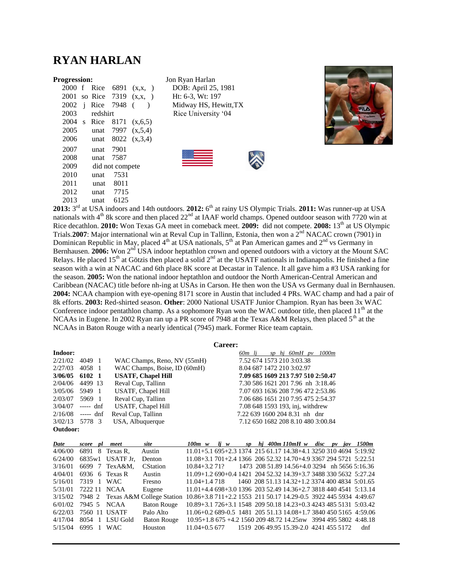## **RYAN HARLAN**

|                  |          | 2000 f Rice 6891   | (x,x,           |
|------------------|----------|--------------------|-----------------|
|                  |          | 2001 so Rice 7319  | $(x, x, \cdot)$ |
| 2002             |          | <i>i</i> Rice 7948 |                 |
| 2003             | redshirt |                    |                 |
| $2004 \text{ s}$ | Rice     | 8171               | (x, 6, 5)       |
| 2005             |          | unat 7997          | (x, 5, 4)       |
| 2006             | unat     | 8022               | (x, 3, 4)       |
| 2007             | unat     | 7901               |                 |
| 2008             | unat     | 7587               |                 |
| 2009             |          | did not compete    |                 |
| 2010             | unat     | 7531               |                 |
| 2011             | unat     | - 8011             |                 |
| 2012             |          | unat 7715          |                 |
| 2013             | unat     | 6125               |                 |
| $-rd$            |          |                    |                 |

**Progression:** Jon Ryan Harlan ) DOB: April 25, 1981  $)$  Ht: 6-3, Wt: 197 Midway HS, Hewitt,TX Rice University '04





2013: 3<sup>rd</sup> at USA indoors and 14th outdoors. 2012: 6<sup>th</sup> at rainy US Olympic Trials. 2011: Was runner-up at USA nationals with  $4<sup>th</sup>$  8k score and then placed  $22<sup>nd</sup>$  at IAAF world champs. Opened outdoor season with 7720 win at Rice decathlon. **2010:** Won Texas GA meet in comeback meet. **2009:** did not compete. **2008:** 13th at US Olympic Trials.**2007**: Major international win at Reval Cup in Tallinn, Estonia, then won a 2<sup>nd</sup> NACAC crown (7901) in Dominican Republic in May, placed  $4<sup>th</sup>$  at USA nationals,  $5<sup>th</sup>$  at Pan American games and  $2<sup>nd</sup>$  vs Germany in Bernhausen. 2006: Won 2<sup>nd</sup> USA indoor heptathlon crown and opened outdoors with a victory at the Mount SAC Relays. He placed 15<sup>th</sup> at Götzis then placed a solid 2<sup>nd</sup> at the USATF nationals in Indianapolis. He finished a fine season with a win at NACAC and 6th place 8K score at Decastar in Talence. It all gave him a #3 USA ranking for the season. **2005:** Won the national indoor heptathlon and outdoor the North American-Central American and Caribbean (NACAC) title before nh-ing at USAs in Carson. He then won the USA vs Germany dual in Bernhausen. **2004:** NCAA champion with eye-opening 8171 score in Austin that included 4 PRs. WAC champ and had a pair of 8k efforts. **2003:** Red-shirted season. **Other**: 2000 National USATF Junior Champion. Ryan has been 3x WAC Conference indoor pentathlon champ. As a sophomore Ryan won the WAC outdoor title, then placed  $11<sup>th</sup>$  at the NCAAs in Eugene. In 2002 Ryan ran up a PR score of 7948 at the Texas A&M Relays, then placed 5<sup>th</sup> at the NCAAs in Baton Rouge with a nearly identical (7945) mark. Former Rice team captain.

#### **Career:**

| 1000m                              |
|------------------------------------|
|                                    |
|                                    |
| 7.09 685 1609 213 7.97 510 2:50.47 |
| 7.30 586 1621 201 7.96 nh 3:18.46  |
| 7.07 693 1636 208 7.96 472 2:53.86 |
| 7.06 686 1651 210 7.95 475 2:54.37 |
|                                    |
|                                    |
| 7.12 650 1682 208 8.10 480 3:00.84 |
|                                    |
|                                    |

| Date    |              | score pl meet                        | site                             | 100m w           | $\mathbf{i}$ w                                                   |  | sp $hi$ 400m 110mH $w$                         | disc | pv | iav | 1500m |
|---------|--------------|--------------------------------------|----------------------------------|------------------|------------------------------------------------------------------|--|------------------------------------------------|------|----|-----|-------|
| 4/06/00 |              | 6891 8 Texas R.                      | Austin                           |                  | $11.01 + 5.1695 + 2.3137421561.1714.38 + 4.1325031046945:19.92$  |  |                                                |      |    |     |       |
| 6/24/00 |              | $6835w1$ USATF Jr.                   | Denton                           |                  | $11.08+3.1701+2.4136620652.3214.70+4.9336729457215:22.51$        |  |                                                |      |    |     |       |
| 3/16/01 |              | 6699 7 TexA&M.                       | <b>CStation</b>                  | $10.84 + 3.271$  |                                                                  |  | 1473 208 51.89 14.56+4.0 3294 nh 5656 5:16.36  |      |    |     |       |
| 4/04/01 |              | $6936 \quad 6 \quad \text{Texas } R$ | Austin                           |                  | 11.09+1.2 690+0.4 1421 204 52.32 14.39+3.7 3488 330 5632 5:27.24 |  |                                                |      |    |     |       |
| 5/16/01 | 7319 1 WAC   |                                      | Fresno                           | $11.04 + 1.4718$ |                                                                  |  | 1460 208 51.13 14.32+1.2 3374 400 4834 5:01.65 |      |    |     |       |
| 5/31/01 | 7222 11 NCAA |                                      | Eugene                           |                  | $11.01 + 4.4698 + 3.0139620352.4914.36 + 2.7381844045415:13.14$  |  |                                                |      |    |     |       |
| 3/15/02 |              |                                      | 7948 2 Texas A&M College Station |                  | 10.86+3.8 711+2.2 1553 211 50.17 14.29-0.5 3922 445 5934 4:49.67 |  |                                                |      |    |     |       |
| 6/01/02 |              | 7945 5 NCAA                          | <b>Baton Rouge</b>               |                  | 10.89+3.1 726+3.1 1548 209 50.18 14.23+0.3 4243 485 5131 5:03.42 |  |                                                |      |    |     |       |
| 6/22/03 |              | 7560 11 USATF                        | Palo Alto                        |                  | 11.06+0.2 689-0.5 1481 205 51.13 14.08+1.7 3840 450 5165 4:59.06 |  |                                                |      |    |     |       |
| 4/17/04 |              | 8054 1 LSU Gold                      | <b>Baton Rouge</b>               |                  | 10.95+1.8 675 +4.2 1560 209 48.72 14.25nw 3994 495 5802 4:48.18  |  |                                                |      |    |     |       |
| 5/15/04 | 6995 1       | WAC.                                 | Houston                          |                  | 11.04+0.5 677 1519 206 49.95 15.39-2.0 4241 455 5172             |  |                                                |      |    |     | dnf   |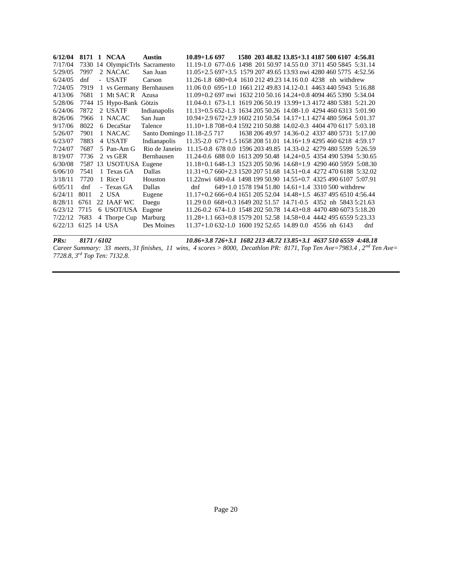| 6/12/04               |      | 8171 1 NCAA              | <b>Austin</b>                                                              | $10.89 + 1.6697$                                                 |  |  | 1580 203 48.82 13.85+3.1 4187 500 6107 4:56.81                     |  |     |
|-----------------------|------|--------------------------|----------------------------------------------------------------------------|------------------------------------------------------------------|--|--|--------------------------------------------------------------------|--|-----|
| 7/17/04               |      | 7330 14 OlympicTrls      | Sacramento                                                                 | 11.19-1.0 677-0.6 1498 201 50.97 14.55 0.0 3711 450 5845 5:31.14 |  |  |                                                                    |  |     |
| 5/29/05               | 7997 | 2 NACAC                  | San Juan                                                                   | $11.05+2.5697+3.5157920749.6513.93$ nwi 4280 460 5775 4:52.56    |  |  |                                                                    |  |     |
| 6/24/05               | dnf  | - USATF                  | Carson                                                                     |                                                                  |  |  | $11.26-1.8$ 680+0.4 1610 212 49.23 14.16 0.0 4238 nh withdrew      |  |     |
| 7/24/05               | 7919 | 1 vs Germany Bernhausen  |                                                                            |                                                                  |  |  | 11.06 0.0 695+1.0 1661 212 49.83 14.12-0.1 4463 440 5943 5:16.88   |  |     |
| 4/13/06               | 7681 | 1 Mt SAC R Azusa         |                                                                            |                                                                  |  |  | $11.09+0.2$ 697 nwi 1632 210 50.16 14.24+0.8 4094 465 5390 5:34.04 |  |     |
| 5/28/06               |      | 7744 15 Hypo-Bank Götzis |                                                                            | 11.04-0.1 673-1.1 1619 206 50.19 13.99+1.3 4172 480 5381 5:21.20 |  |  |                                                                    |  |     |
| 6/24/06               | 7872 | 2 USATF                  | Indianapolis                                                               | 11.13+0.5 652-1.3 1634 205 50.26 14.08-1.0 4294 460 6313 5:01.90 |  |  |                                                                    |  |     |
| 8/26/06               | 7966 | 1 NACAC                  | San Juan                                                                   |                                                                  |  |  | 10.94+2.9 672+2.9 1602 210 50.54 14.17+1.1 4274 480 5964 5:01.37   |  |     |
| 9/17/06               | 8022 | 6 DecaStar               | Talence                                                                    | $11.10+1.8708+0.4159221050.8814.02-0.3440447061175:03.18$        |  |  |                                                                    |  |     |
| 5/26/07               | 7901 | 1 NACAC                  | Santo Domingo 11.18-2.5 717 1638 206 49.97 14.36-0.2 4337 480 5731 5:17.00 |                                                                  |  |  |                                                                    |  |     |
| 6/23/07               | 7883 | 4 USATF                  | Indianapolis                                                               | 11.35-2.0 677+1.5 1658 208 51.01 14.16+1.9 4295 460 6218 4:59.17 |  |  |                                                                    |  |     |
| 7/24/07               | 7687 | 5 Pan-Am G               | Rio de Janeiro                                                             |                                                                  |  |  | 11.15-0.8 678 0.0 1596 203 49.85 14.33-0.2 4279 480 5599 5:26.59   |  |     |
| 8/19/07               | 7736 | 2 vs GER                 | Bernhausen                                                                 |                                                                  |  |  | 11.24-0.6 688 0.0 1613 209 50.48 14.24+0.5 4354 490 5394 5:30.65   |  |     |
| 6/30/08               |      | 7587 13 USOT/USA Eugene  |                                                                            | 11.18+0.1 648-1.3 1523 205 50.96 14.68+1.9 4290 460 5959 5:08.30 |  |  |                                                                    |  |     |
| 6/06/10               | 7541 | 1 Texas GA               | Dallas                                                                     | $11.31+0.7660+2.3152020751.6814.51+0.4427247061885:32.02$        |  |  |                                                                    |  |     |
| 3/18/11               | 7720 | 1 Rice U                 | Houston                                                                    | 11.22nwi 680-0.4 1498 199 50.90 14.55+0.7 4325 490 6107 5:07.91  |  |  |                                                                    |  |     |
| 6/05/11               | dnf  | - Texas GA               | Dallas                                                                     | dnf                                                              |  |  | 649+1.0 1578 194 51.80 14.61+1.4 3310 500 withdrew                 |  |     |
| 6/24/11               | 8011 | 2 USA                    | Eugene                                                                     |                                                                  |  |  | $11.17+0.2666+0.4165120552.0414.48+1.5463749565104:56.44$          |  |     |
| 8/28/11               | 6761 | 22 IAAF WC               | Daegu                                                                      | 11.29 0.0 668+0.3 1649 202 51.57 14.71-0.5 4352 nh 5843 5:21.63  |  |  |                                                                    |  |     |
| 6/23/12               | 7715 | 6 USOT/USA               | Eugene                                                                     | 11.26-0.2 674-1.0 1548 202 50.78 14.43+0.8 4470 480 6073 5:18.20 |  |  |                                                                    |  |     |
| 7/22/12 7683          |      | 4 Thorpe Cup             | Marburg                                                                    | 11.28+1.1 663+0.8 1579 201 52.58 14.58+0.4 4442 495 6559 5:23.33 |  |  |                                                                    |  |     |
| $6/22/13$ 6125 14 USA |      |                          | Des Moines                                                                 | $11.37+1.0632-1.0160019252.6514.890.04556$ nh 6143               |  |  |                                                                    |  | dnf |
|                       |      |                          |                                                                            |                                                                  |  |  |                                                                    |  |     |

*PRs: 8171 / 6102 10.86+3.8 726+3.1 1682 213 48.72 13.85+3.1 4637 510 6559 4:48.18 Career Summary: 33 meets, 31 finishes, 11 wins, 4 scores > 8000, Decathlon PR: 8171, Top Ten Ave=7983.4 , 2nd Ten Ave= 7728.8, 3rd Top Ten: 7132.8.*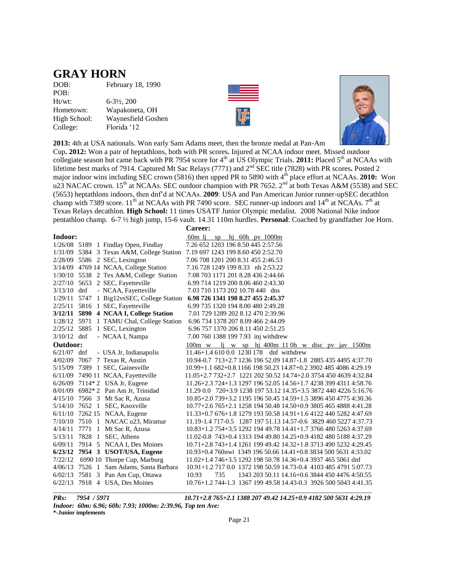## **GRAY HORN**

DOB: February 18, 1990 POB: Ht/wt: 6-3½, 200 Hometown: Wapakoneta, OH High School: Waynesfield Goshen College: Florida '12





**2013:** 4th at USA nationals. Won early Sam Adams meet, then the bronze medal at Pan-Am

Cup**. 2012:** Won a pair of heptathlons, both with PR scores**.** Injured at NCAA indoor meet. Missed outdoor collegiate season but came back with PR 7954 score for 4th at US Olympic Trials. **2011:** Placed 5th at NCAAs with lifetime best marks of 7914. Captured Mt Sac Relays (7771) and 2nd SEC title (7828) with PR scores**.** Posted 2 major indoor wins including SEC crown (5816) then upped PR to 5890 with 4<sup>th</sup> place effort at NCAAs. **2010:** Won u23 NACAC crown. 15<sup>th</sup> at NCAAs. SEC outdoor champion with PR 7652. 2<sup>nd</sup> at both Texas A&M (5538) and SEC (5653) heptathlons indoors, then dnf'd at NCAAs. **2009**: USA and Pan American Junior runner-upSEC decathlon champ with 7389 score.  $11^{th}$  at NCAAs with PR 7490 score. SEC runner-up indoors and  $14^{th}$  at NCAAs.  $7^{th}$  at Texas Relays decathlon. **High School:** 11 times USATF Junior Olympic medalist. 2008 National Nike indoor pentathlon champ. 6-7 ½ high jump, 15-6 vault. 14.31 110m hurdles. **Personal**: Coached by grandfather Joe Horn.

|               |                                                                              | Career:                                                          |     |  |                   |  |  |                                                |
|---------------|------------------------------------------------------------------------------|------------------------------------------------------------------|-----|--|-------------------|--|--|------------------------------------------------|
| Indoor:       |                                                                              | 60m li                                                           | SD  |  | hj 60h pv $1000m$ |  |  |                                                |
|               | 1/26/08 5189 1 Findlay Open, Findlay                                         | 7.26 652 1203 196 8.50 445 2:57.56                               |     |  |                   |  |  |                                                |
|               | 1/31/09 5384 3 Texas A&M, College Station 7.19 697 1243 199 8.60 450 2:52.70 |                                                                  |     |  |                   |  |  |                                                |
|               | 2/28/09 5586 2 SEC, Lexington                                                | 7.06 708 1201 200 8.31 455 2:46.53                               |     |  |                   |  |  |                                                |
|               | 3/14/09 4769 14 NCAA, College Station                                        | 7.16 728 1249 199 8.33 nh 2:53.22                                |     |  |                   |  |  |                                                |
|               | 1/30/10 5538 2 Tex A&M, College Station                                      | 7.08 703 1171 201 8.28 436 2:44.66                               |     |  |                   |  |  |                                                |
|               | 2/27/10 5653 2 SEC, Fayetteville                                             | 6.99 714 1219 200 8.06 460 2:43.30                               |     |  |                   |  |  |                                                |
| $3/13/10$ dnf | - NCAA, Fayetteville                                                         | 7.03 710 1173 202 10.78 440 dns                                  |     |  |                   |  |  |                                                |
| 1/29/11       | 5747 1 Big12vsSEC, College Station                                           | 6.98 726 1341 198 8.27 455 2:45.37                               |     |  |                   |  |  |                                                |
| 2/25/11       | 5816 1 SEC, Fayetteville                                                     | 6.99 735 1320 194 8.00 480 2:49.28                               |     |  |                   |  |  |                                                |
|               | 3/12/11 5890 4 NCAA I, College Station                                       | 7.01 729 1289 202 8.12 470 2:39.96                               |     |  |                   |  |  |                                                |
|               | 1/28/12 5971 1 TAMU Chal, College Station                                    | 6.96 734 1378 207 8.09 466 2:44.09                               |     |  |                   |  |  |                                                |
|               | 2/25/12 5885 1 SEC, Lexington                                                | 6.96 757 1370 206 8.11 450 2:51.25                               |     |  |                   |  |  |                                                |
| $3/10/12$ dnf | - NCAA I, Nampa                                                              | 7.00 760 1388 199 7.93 inj withdrew                              |     |  |                   |  |  |                                                |
| Outdoor:      |                                                                              | $100m \text{ w}$                                                 |     |  |                   |  |  | lj w sp hj 400m 110h w disc pv jav 1500m       |
| $6/21/07$ dnf | - USA Jr, Indianapolis                                                       | 11.46+1.4 610 0.0 1230 178 dnf withdrew                          |     |  |                   |  |  |                                                |
|               | 4/02/09 7067 7 Texas R, Austin                                               | 10.94-0.7 713+2.7 1236 196 52.09 14.87-1.8 2885 435 4495 4:37.70 |     |  |                   |  |  |                                                |
|               | 5/15/09 7389 1 SEC, Gainesville                                              | 10.99+1.1 682+0.8 1166 198 50.23 14.87+0.2 3902 485 4086 4:29.19 |     |  |                   |  |  |                                                |
|               | 6/11/09 7490 11 NCAA, Fayetteville                                           | 11.05+2.7 732+2.7 1221 202 50.52 14.74+2.0 3754 450 4639 4:32.84 |     |  |                   |  |  |                                                |
|               | 6/26/09 7114*2 USA Jr, Eugene                                                | 11.26+2.3 724+1.3 1297 196 52.05 14.56+1.7 4238 399 4311 4:58.76 |     |  |                   |  |  |                                                |
|               | 8/01/09 6982*2 Pan Am Jr, Trinidad                                           | 11.29 0.0 720+3.9 1238 197 53.12 14.35+3.5 3872 440 4226 5:16.76 |     |  |                   |  |  |                                                |
|               | 4/15/10 7566 3 Mt Sac R, Azusa                                               | 10.85+2.0 739+3.2 1195 196 50.45 14.59+1.5 3896 450 4775 4:30.36 |     |  |                   |  |  |                                                |
|               | 5/14/10 7652 1 SEC, Knoxville                                                | 10.77+2.6 765+2.1 1258 194 50.48 14.50+0.9 3805 465 4888 4:41.28 |     |  |                   |  |  |                                                |
|               | 6/11/10 7262 15 NCAA, Eugene                                                 | 11.33+0.7 676+1.8 1279 193 50.58 14.91+1.6 4122 440 5282 4:47.69 |     |  |                   |  |  |                                                |
| 7/10/10       | 7510 1 NACAC u23, Miramar                                                    | 11.19-1.4 717-0.5 1287 197 51.13 14.57-0.6 3829 460 5227 4:37.73 |     |  |                   |  |  |                                                |
| 4/14/11       | 7771 1 Mt Sac R, Azusa                                                       | $10.83+1.2754+3.5129219449.7814.41+1.7376648052634:37.69$        |     |  |                   |  |  |                                                |
| 5/13/11       | 7828 1 SEC, Athens                                                           | 11.02-0.8 743+0.4 1313 194 49.80 14.25+0.9 4182 480 5188 4:37.29 |     |  |                   |  |  |                                                |
| 6/09/11       | 7914 5 NCAA I, Des Moines                                                    | 10.71+2.8 743+1.4 1261 199 49.42 14.32+1.8 3713 490 5232 4:29.45 |     |  |                   |  |  |                                                |
| 6/23/12       | 7954 3 USOT/USA, Eugene                                                      | 10.93+0.4 760nwi 1349 196 50.66 14.41+0.8 3834 500 5631 4:33.02  |     |  |                   |  |  |                                                |
| 7/22/12       | 6990 10 Thorpe Cup, Marburg                                                  | $11.02+1.4$ 746+3.5 1292 198 50.78 14.36+0.4 3937 465 5061 dnf   |     |  |                   |  |  |                                                |
| 4/06/13       | 7526 1 Sam Adams, Santa Barbara                                              | 10.91+1.2 717 0.0 1372 198 50.59 14.73-0.4 4103 485 4791 5:07.73 |     |  |                   |  |  |                                                |
| 6/02/13       | 7581 3 Pan Am Cup, Ottawa                                                    | 10.93                                                            | 735 |  |                   |  |  | 1343 203 50.11 14.16+0.6 3844 450 4476 4:50.55 |
| 6/22/13       | 7918 4 USA, Des Moines                                                       | 10.76+1.2 744-1.3 1367 199 49.58 14.43-0.3 3926 500 5043 4:41.35 |     |  |                   |  |  |                                                |
|               |                                                                              |                                                                  |     |  |                   |  |  |                                                |

*PRs: 7954 / 5971 10.71+2.8 765+2.1 1388 207 49.42 14.25+0.9 4182 500 5631 4:29.19 Indoor: 60m: 6.96; 60h: 7.93; 1000m: 2:39.96, Top ten Ave:* 

**\*-Junior implements**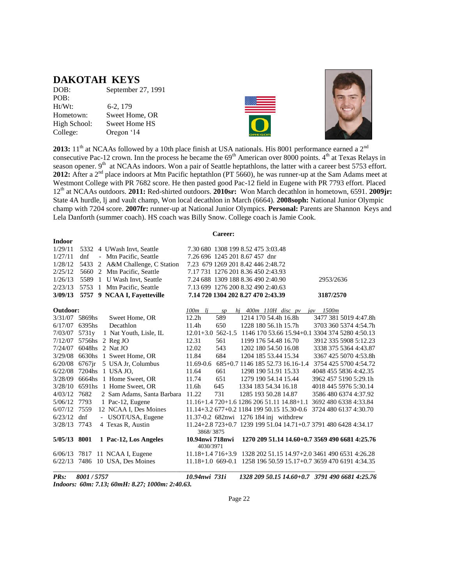## **DAKOTAH KEYS**

| September 27, 1991   |
|----------------------|
|                      |
| 6-2, 179             |
| Sweet Home, OR       |
| <b>Sweet Home HS</b> |
| Oregon '14           |
|                      |





**2013:**  $11<sup>th</sup>$  at NCAAs followed by a 10th place finish at USA nationals. His 8001 performance earned a  $2<sup>nd</sup>$ consecutive Pac-12 crown. Inn the process he became the  $69<sup>th</sup>$  American over 8000 points.  $4<sup>th</sup>$  at Texas Relays in season opener. 9<sup>th</sup> at NCAAs indoors. Won a pair of Seattle heptathlons, the latter with a career best 5753 effort. **2012:** After a 2<sup>nd</sup> place indoors at Mtn Pacific heptathlon (PT 5660), he was runner-up at the Sam Adams meet at Westmont College with PR 7682 score. He then pasted good Pac-12 field in Eugene with PR 7793 effort. Placed 12th at NCAAs outdoors. **2011:** Red-shirted outdoors. **2010sr:** Won March decathlon in hometown, 6591. **2009jr:** State 4A hurdle, lj and vault champ, Won local decathlon in March (6664). **2008soph:** National Junior Olympic champ with 7204 score. **2007fr:** runner-up at National Junior Olympics. **Personal:** Parents are Shannon Keys and Lela Danforth (summer coach). HS coach was Billy Snow. College coach is Jamie Cook.

**Career:**

| <b>Indoor</b>  |                                                         |                                                                  |                                                |
|----------------|---------------------------------------------------------|------------------------------------------------------------------|------------------------------------------------|
| 1/29/11        | 5332 4 UWash Invt, Seattle                              | 7.30 680 1308 199 8.52 475 3:03.48                               |                                                |
| 1/27/11        | Mtn Pacific, Seattle<br>dnf<br>$\overline{\phantom{0}}$ | 7.26 696 1245 201 8.67 457 dnr                                   |                                                |
| 1/28/12        | 2 A&M Challenge, C Station<br>5433                      | 7.23 679 1269 201 8.42 446 2:48.72                               |                                                |
| 2/25/12        | Mtn Pacific, Seattle<br>5660 2                          | 7.17 731 1276 201 8.36 450 2:43.93                               |                                                |
| 1/26/13        | 5589<br>U Wash Invt, Seattle<br>$\mathbf{1}$            | 7.24 688 1309 188 8.36 490 2:40.90                               | 2953/2636                                      |
| 2/23/13        | Mtn Pacific, Seattle<br>5753<br>$\overline{1}$          | 7.13 699 1276 200 8.32 490 2:40.63                               |                                                |
| 3/09/13        | 5757 9 NCAA I, Favetteville                             | 7.14 720 1304 202 8.27 470 2:43.39                               | 3187/2570                                      |
|                |                                                         |                                                                  |                                                |
| Outdoor:       |                                                         | $100m$ lj<br>$hi$ 400 $m$ 110 $H$ disc $pv$<br>sp                | <i>iav</i> 1500m                               |
| 3/31/07 5869hs | Sweet Home, OR                                          | 589<br>12.2h<br>1214 170 54.4h 16.8h                             | 3477 381 5019 4:47.8h                          |
| 6/17/07        | 6395hs<br>Decathlon                                     | 650<br>1228 180 56.1h 15.7h<br>11.4h                             | 3703 360 5374 4:54.7h                          |
| 7/03/07        | 1 Nat Youth, Lisle, IL<br>5731 <sub>y</sub>             | $12.01 + 3.0$ 562-1.5                                            | 1146 170 53.66 15.94+0.1 3304 374 5280 4:50.13 |
| 7/12/07        | 5756hs 2 Reg JO                                         | 12.31<br>561<br>1199 176 54.48 16.70                             | 3912 335 5908 5:12.23                          |
| 7/24/07        | $6048$ hs $2$ Nat JO                                    | 12.02<br>543<br>1202 180 54.50 16.08                             | 3338 375 5364 4:43.87                          |
| 3/29/08        | 6630hs 1 Sweet Home, OR                                 | 11.84<br>684<br>1204 185 53.44 15.34                             | 3367 425 5070 4:53.8h                          |
| 6/20/08        | 5 USA Jr, Columbus<br>$6767$ jr                         | 11.69-0.6<br>685+0.7 1146 185 52.73 16.16-1.4                    | 3754 425 5700 4:54.72                          |
| 6/22/08        | 7204hs 1 USA JO,                                        | 11.64<br>661<br>1298 190 51.91 15.33                             | 4048 455 5836 4:42.35                          |
| 3/28/09        | 1 Home Sweet, OR<br>6664hs                              | 11.74<br>651<br>1279 190 54.14 15.44                             | 3962 457 5190 5:29.1h                          |
| 3/28/10        | 6591hs 1 Home Sweet, OR                                 | 11.6h<br>645<br>1334 183 54.34 16.18                             | 4018 445 5976 5:30.14                          |
| 4/03/12        | 7682<br>2 Sam Adams, Santa Barbara                      | 731<br>11.22<br>1285 193 50.28 14.87                             | 3586 480 6374 4:37.92                          |
| 5/06/12        | 7793<br>1 Pac-12, Eugene                                | 11.16+1.4 720+1.6 1286 206 51.11 14.88+1.1                       | 3692 480 6338 4:33.84                          |
| 6/07/12        | 12 NCAA I, Des Moines<br>7559                           | 11.14+3.2 677+0.2 1184 199 50.15 15.30-0.6 3724 480 6137 4:30.70 |                                                |
| 6/23/12        | dnf<br>- USOT/USA, Eugene                               | 11.37-0.2 682nwi 1276 184 inj withdrew                           |                                                |
| 3/28/13        | 7743<br>4 Texas R, Austin                               | 11.24+2.8 723+0.7 1239 199 51.04 14.71+0.7 3791 480 6428 4:34.17 |                                                |
|                |                                                         | 3868/3875                                                        |                                                |
| 5/05/13 8001   | 1 Pac-12, Los Angeles                                   | 10.94nwi 718nwi<br>4030/3971                                     | 1270 209 51.14 14.60+0.7 3569 490 6681 4:25.76 |
| 6/06/13        | 7817 11 NCAA I, Eugene                                  | $11.18 + 1.4716 + 3.9$                                           | 1328 202 51.15 14.97+2.0 3461 490 6531 4:26.28 |
| 6/22/13        | 7486 10 USA, Des Moines                                 | $11.18 + 1.0669 - 0.1$                                           | 1258 196 50.59 15.17+0.7 3659 470 6191 4:34.35 |
|                |                                                         |                                                                  |                                                |

*PRs: 8001 / 5757 10.94nwi 731i 1328 209 50.15 14.60+0.7 3791 490 6681 4:25.76 Indoors: 60m: 7.13; 60mH: 8.27; 1000m: 2:40.63.*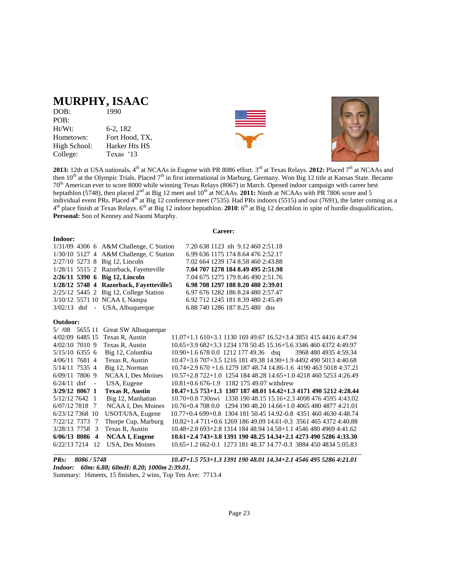## **MURPHY, ISAAC**

| DOB:         | 1990           |
|--------------|----------------|
| POB:         |                |
| Ht/Wt:       | $6-2, 182$     |
| Hometown:    | Fort Hood, TX, |
| High School: | Harker Hts HS  |
| College:     | Texas '13      |





**2013:** 12th at USA nationals**.** 4 th at NCAAs in Eugene with PR 8086 effort. 3rd at Texas Relays. **2012:** Placed 7th at NCAAs and then 10<sup>th</sup> at the Olympic Trials. Placed 7<sup>th</sup> in first international in Marburg, Germany. Won Big 12 title at Kansas State. Became 70<sup>th</sup> American ever to score 8000 while winning Texas Relays (8067) in March. Opened indoor campaign with career best heptathlon (5748), then placed 2<sup>nd</sup> at Big 12 meet and 10<sup>th</sup> at NCAAs. **2011:** Ninth at NCAAs with PR 7806 score and 5 individual event PRs. Placed  $4<sup>th</sup>$  at Big 12 conference meet (7535). Had PRs indoors (5515) and out (7691), the latter coming as a 4<sup>th</sup> place finish at Texas Relays. 6<sup>th</sup> at Big 12 indoor heptathlon. **2010**: 6<sup>th</sup> at Big 12 decathlon in spite of hurdle disqualification. **Personal:** Son of Kenney and Naomi Murphy.

#### **Indoor:**

**Career:**

|          |  | $1/31/09$ 4306 6 A&M Challenge, C Station                 |                                                                  | 7.20 638 1123 nh 9.12 460 2:51.18  |  |  |  |
|----------|--|-----------------------------------------------------------|------------------------------------------------------------------|------------------------------------|--|--|--|
|          |  | 1/30/10 5127 4 A&M Challenge, C Station                   |                                                                  | 6.99 636 1175 174 8.64 476 2:52.17 |  |  |  |
|          |  | 2/27/10 5273 8 Big 12, Lincoln                            |                                                                  | 7.02 664 1239 174 8.58 460 2:43.88 |  |  |  |
|          |  | 1/28/11 5515 2 Razorback, Fayetteville                    |                                                                  | 7.04 707 1278 184 8.49 495 2:51.98 |  |  |  |
|          |  | 2/26/11 5390 6 Big 12, Lincoln                            |                                                                  | 7.04 675 1275 179 8.46 490 2:51.76 |  |  |  |
|          |  | 1/28/12 5748 4 Razorback, Fayetteville5                   |                                                                  | 6.98 708 1297 188 8.20 480 2:39.01 |  |  |  |
|          |  | 2/25/12 5445 2 Big 12, College Station                    |                                                                  | 6.97 676 1282 186 8.24 480 2:57.47 |  |  |  |
|          |  | 3/10/12 5571 10 NCAA I, Nampa                             |                                                                  | 6.92 712 1245 181 8.39 480 2:45.49 |  |  |  |
|          |  | $3/02/13$ dnf - USA, Albuquerque                          |                                                                  | 6.88 740 1286 187 8.25 480 dns     |  |  |  |
| Outdoor: |  |                                                           |                                                                  |                                    |  |  |  |
|          |  | 5/ /08 5655 11 Great SW Albuquerque                       |                                                                  |                                    |  |  |  |
|          |  | $4/02/00 \le 495 \text{ if }$ T <sub>rue</sub> D Augustin | 11.07 $\cdot$ 1.1.210 $\cdot$ 2.1.1120.160.40.67.16.50 $\cdot$ 2 |                                    |  |  |  |

| 4/02/09 6485 15 Texas R. Austin |                           | $11.07+1.1$ 610+3.1 1130 169 49.67 16.52+3.4 3851 415 4416 4:47.94 |
|---------------------------------|---------------------------|--------------------------------------------------------------------|
| $4/02/10$ 7010 9                | Texas R, Austin           | 10.65+3.9 682+3.3 1234 178 50.45 15.16+5.6 3346 460 4372 4:49.97   |
| $5/15/10$ 6355 6                | Big 12, Columbia          | $10.90 + 1.66780.0121217749.36$ dsq<br>3968 480 4935 4:59.34       |
| 4/06/11 7681 4                  | Texas R. Austin           | 10.47+3.6 707+3.5 1216 181 49.38 14.90+1.9 4492 490 5013 4:40.68   |
| 5/14/11 7535 4                  | Big 12, Norman            | $10.74+2.9670+1.6127918748.7414.86-1.6419046350184.37.21$          |
| $6/09/11$ 7806 9                | <b>NCAA I. Des Moines</b> | 10.57+2.8 722+1.0 1254 184 48.28 14.65+1.0 4218 460 5253 4:26.49   |
| $6/24/11$ dnf<br>$\blacksquare$ | USA, Eugene               | $10.81 + 0.6676 - 1.9$ 1182 175 49.07 withdrew                     |
| 3/29/12 8067 1                  | <b>Texas R. Austin</b>    | 10.47+1.5 753+1.3 1307 187 48.01 14.42+1.3 4171 490 5212 4:28.44   |
| $5/12/12$ 7642 1                | Big 12, Manhattan         | 10.70+0.8 730nwi 1338 190 48.15 15.16+2.3 4008 476 4595 4:43.02    |
| $6/07/12$ 7818 7                | <b>NCAA I. Des Moines</b> | 10.76+0.4 708 0.0 1294 190 48.20 14.66+1.0 4065 480 4877 4:21.01   |
| $6/23/12$ 7368 10               | USOT/USA, Eugene          | 10.77+0.4 699+0.8 1304 181 50.45 14.92-0.8 4351 460 4630 4:48.74   |
| 7/22/12 7373 7                  | Thorpe Cup, Marburg       | 10.82+1.4 711+0.6 1269 186 49.09 14.61-0.3 3561 465 4372 4:40.88   |
| 3/28/13 7758 3                  | Texas R. Austin           | $10.48 + 2.8693 + 2.8131418448.9414.58 + 1.1454648049694:41.62$    |
| $6/06/13$ 8086 4                | <b>NCAA I, Eugene</b>     | 10.61+2.4 743+3.8 1391 190 48.25 14.34+2.1 4273 490 5286 4:33.30   |
| 6/22/13 7214<br>- 12            | <b>USA</b> , Des Moines   | 10.65+1.2 662-0.1 1273 181 48.37 14.77-0.3 3884 450 4834 5:05.83   |
|                                 |                           |                                                                    |

*PRs: 8086 / 5748 10.47+1.5 753+1.3 1391 190 48.01 14.34+2.1 4546 495 5286 4:21.01 Indoor: 60m: 6.88; 60mH: 8.20; 1000m 2:39.01.* Summary: 16meets, 15 finishes, 2 wins, Top Ten Ave: 7713.4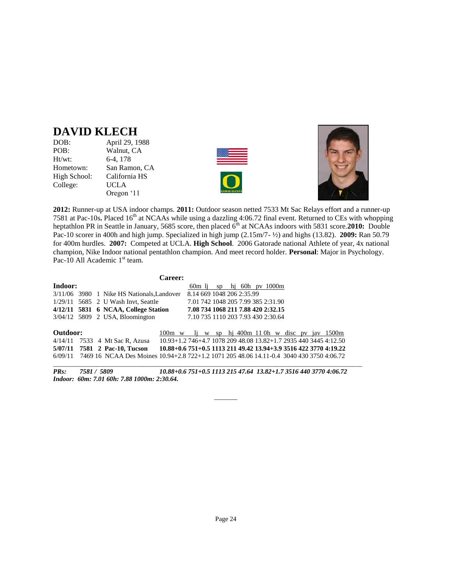## **DAVID KLECH**

| DOB:         | April 29, 1988 |
|--------------|----------------|
| POB:         | Walnut, CA     |
| Ht/wt:       | 6-4, 178       |
| Hometown:    | San Ramon, CA  |
| High School: | California HS  |
| College:     | <b>UCLA</b>    |
|              | Oregon '11     |





**2012:** Runner-up at USA indoor champs. **2011:** Outdoor season netted 7533 Mt Sac Relays effort and a runner-up 7581 at Pac-10s**.** Placed 16th at NCAAs while using a dazzling 4:06.72 final event. Returned to CEs with whopping heptathlon PR in Seattle in January, 5685 score, then placed 6<sup>th</sup> at NCAAs indoors with 5831 score.2010: Double Pac-10 scorer in 400h and high jump. Specialized in high jump (2.15m/7- ½) and highs (13.82). **2009:** Ran 50.79 for 400m hurdles. **2007:** Competed at UCLA. **High School**. 2006 Gatorade national Athlete of year, 4x national champion, Nike Indoor national pentathlon champion. And meet record holder. **Personal**: Major in Psychology. Pac-10 All Academic 1<sup>st</sup> team.

|          |  |                                                                                                  | <b>Career:</b>   |        |  |                                    |  |  |  |                                                                  |  |
|----------|--|--------------------------------------------------------------------------------------------------|------------------|--------|--|------------------------------------|--|--|--|------------------------------------------------------------------|--|
| Indoor:  |  |                                                                                                  |                  | 60m li |  | sp hi $60h$ pv $1000m$             |  |  |  |                                                                  |  |
|          |  | 3/11/06 3980 1 Nike HS Nationals, Landover                                                       |                  |        |  | 8.14 669 1048 206 2:35.99          |  |  |  |                                                                  |  |
|          |  | $1/29/11$ 5685 2 U Wash Invt, Seattle                                                            |                  |        |  | 7.01 742 1048 205 7.99 385 2:31.90 |  |  |  |                                                                  |  |
|          |  | 4/12/11 5831 6 NCAA, College Station                                                             |                  |        |  | 7.08 734 1068 211 7.88 420 2:32.15 |  |  |  |                                                                  |  |
|          |  | $3/04/12$ 5809 2 USA, Bloomington                                                                |                  |        |  | 7.10 735 1110 203 7.93 430 2:30.64 |  |  |  |                                                                  |  |
|          |  |                                                                                                  |                  |        |  |                                    |  |  |  |                                                                  |  |
| Outdoor: |  |                                                                                                  | $100m \text{ w}$ |        |  |                                    |  |  |  | $\mu$ i w sp hi 400m 110h w disc pv jav 1500m                    |  |
|          |  | 4/14/11 7533 4 Mt Sac R, Azusa                                                                   |                  |        |  |                                    |  |  |  | 10.93+1.2 746+4.7 1078 209 48.08 13.82+1.7 2935 440 3445 4:12.50 |  |
|          |  | 5/07/11 7581 2 Pac-10, Tucson                                                                    |                  |        |  |                                    |  |  |  | 10.88+0.6 751+0.5 1113 211 49.42 13.94+3.9 3516 422 3770 4:19.22 |  |
|          |  | 6/09/11 7469 16 NCAA Des Moines 10.94+2.8 722+1.2 1071 205 48.06 14.11-0.4 3040 430 3750 4:06.72 |                  |        |  |                                    |  |  |  |                                                                  |  |
|          |  |                                                                                                  |                  |        |  |                                    |  |  |  |                                                                  |  |

*PRs: 7581 / 5809 10.88+0.6 751+0.5 1113 215 47.64 13.82+1.7 3516 440 3770 4:06.72 Indoor: 60m: 7.01 60h: 7.88 1000m: 2:30.64.* 

 $\overline{\phantom{a}}$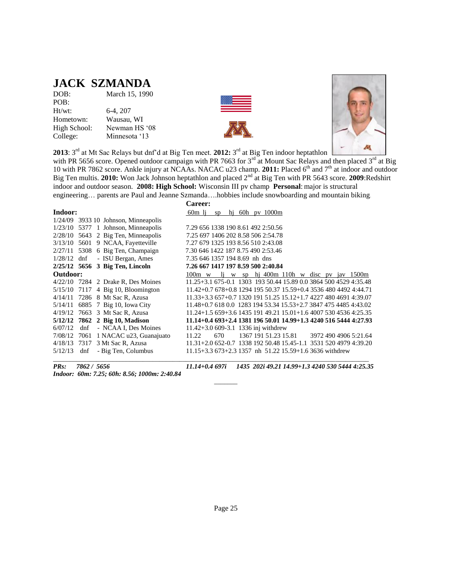## **JACK SZMANDA**

| DOB:         | March 15, 1990 |
|--------------|----------------|
| POB:         |                |
| $Ht/wt$ :    | 6-4, 207       |
| Hometown:    | Wausau, WI     |
| High School: | Newman HS '08  |
| College:     | Minnesota '13  |





**2013**: 3rd at Mt Sac Relays but dnf'd at Big Ten meet. **2012:** 3 rd at Big Ten indoor heptathlon

with PR 5656 score. Opened outdoor campaign with PR 7663 for  $3^{rd}$  at Mount Sac Relays and then placed  $3^{rd}$  at Big 10 with PR 7862 score. Ankle injury at NCAAs. NACAC u23 champ. 2011: Placed 6<sup>th</sup> and 7<sup>th</sup> at indoor and outdoor Big Ten multis. **2010:** Won Jack Johnson heptathlon and placed 2nd at Big Ten with PR 5643 score. **2009**:Redshirt indoor and outdoor season. **2008: High School:** Wisconsin III pv champ **Personal**: major is structural engineering… parents are Paul and Jeanne Szmanda….hobbies include snowboarding and mountain biking.

|               |     |                                        | <b>Career:</b>                                                   |
|---------------|-----|----------------------------------------|------------------------------------------------------------------|
| Indoor:       |     |                                        | 60m li<br>sp hi $60h$ pv $1000m$                                 |
|               |     | $1/24/09$ 3933 10 Johnson, Minneapolis |                                                                  |
|               |     | $1/23/10$ 5377 1 Johnson, Minneapolis  | 7.29 656 1338 190 8.61 492 2:50.56                               |
|               |     | $2/28/10$ 5643 2 Big Ten, Minneapolis  | 7.25 697 1406 202 8.58 506 2:54.78                               |
|               |     | 3/13/10 5601 9 NCAA, Fayetteville      | 7.27 679 1325 193 8.56 510 2:43.08                               |
|               |     | $2/27/11$ 5308 6 Big Ten, Champaign    | 7.30 646 1422 187 8.75 490 2:53.46                               |
| $1/28/12$ dnf |     | - ISU Bergan, Ames                     | 7.35 646 1357 194 8.69 nh dns                                    |
|               |     | 2/25/12 5656 3 Big Ten, Lincoln        | 7.26 667 1417 197 8.59 500 2:40.84                               |
| Outdoor:      |     |                                        | $100m$ w li w sp hj 400m 110h w disc pv jav 1500m                |
|               |     | $4/22/10$ 7284 2 Drake R, Des Moines   | 11.25+3.1 675-0.1 1303 193 50.44 15.89 0.0 3864 500 4529 4:35.48 |
|               |     | $5/15/10$ 7117 4 Big 10, Bloomington   | 11.42+0.7 678+0.8 1294 195 50.37 15.59+0.4 3536 480 4492 4:44.71 |
|               |     | 4/14/11 7286 8 Mt Sac R, Azusa         | $11.33+3.3657+0.7132019151.2515.12+1.742274804691439.07$         |
|               |     | 5/14/11 6885 7 Big 10, Iowa City       | 11.48+0.7 618 0.0 1283 194 53.34 15.53+2.7 3847 475 4485 4:43.02 |
|               |     | 4/19/12 7663 3 Mt Sac R, Azusa         | 11.24+1.5 659+3.6 1435 191 49.21 15.01+1.6 4007 530 4536 4:25.35 |
|               |     | 5/12/12 7862 2 Big 10, Madison         | $11.14+0.4693+2.4138119650.0114.99+1.3424051654444:27.93$        |
| 6/07/12       | dnf | - NCAA I, Des Moines                   | 11.42+3.0 609-3.1 1336 inj withdrew                              |
|               |     | 7/08/12 7061 1 NACAC u23, Guanajuato   | 1367 191 51.23 15.81<br>3972 490 4906 5:21.64<br>670<br>11.22    |
|               |     | 4/18/13 7317 3 Mt Sac R, Azusa         | 11.31+2.0 652-0.7 1338 192 50.48 15.45-1.1 3531 520 4979 4:39.20 |
| 5/12/13       | dnf | - Big Ten, Columbus                    | 11.15+3.3 673+2.3 1357 nh 51.22 15.59+1.6 3636 withdrew          |

*Indoor: 60m: 7.25; 60h: 8.56; 1000m: 2:40.84* 

*PRs: 7862 / 5656 11.14+0.4 697i 1435 202i 49.21 14.99+1.3 4240 530 5444 4:25.35* 

 $\overline{\phantom{a}}$